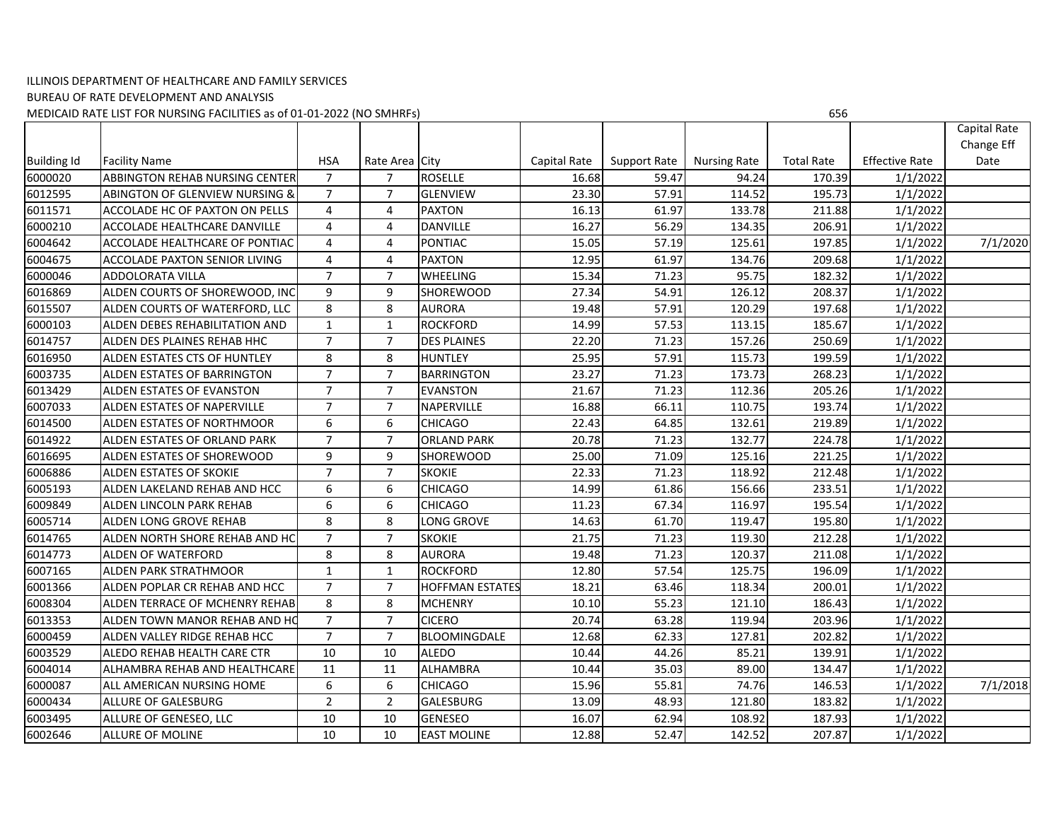## ILLINOIS DEPARTMENT OF HEALTHCARE AND FAMILY SERVICES BUREAU OF RATE DEVELOPMENT AND ANALYSIS MEDICAID RATE LIST FOR NURSING FACILITIES as of 01‐01‐2022 (NO SMHRFs) 656

|                    |                                           |                 |                |                        |              |                     |                     |                   |                       | Capital Rate |
|--------------------|-------------------------------------------|-----------------|----------------|------------------------|--------------|---------------------|---------------------|-------------------|-----------------------|--------------|
|                    |                                           |                 |                |                        |              |                     |                     |                   |                       | Change Eff   |
| <b>Building Id</b> | <b>Facility Name</b>                      | <b>HSA</b>      | Rate Area City |                        | Capital Rate | <b>Support Rate</b> | <b>Nursing Rate</b> | <b>Total Rate</b> | <b>Effective Rate</b> | Date         |
| 6000020            | ABBINGTON REHAB NURSING CENTER            | $\overline{7}$  | 7              | <b>ROSELLE</b>         | 16.68        | 59.47               | 94.24               | 170.39            | 1/1/2022              |              |
| 6012595            | <b>ABINGTON OF GLENVIEW NURSING &amp;</b> | $\overline{7}$  | $\overline{7}$ | <b>GLENVIEW</b>        | 23.30        | 57.91               | 114.52              | 195.73            | 1/1/2022              |              |
| 6011571            | ACCOLADE HC OF PAXTON ON PELLS            | $\overline{4}$  | 4              | <b>PAXTON</b>          | 16.13        | 61.97               | 133.78              | 211.88            | 1/1/2022              |              |
| 6000210            | ACCOLADE HEALTHCARE DANVILLE              | 4               | $\overline{4}$ | <b>DANVILLE</b>        | 16.27        | 56.29               | 134.35              | 206.91            | 1/1/2022              |              |
| 6004642            | ACCOLADE HEALTHCARE OF PONTIAC            | 4               | $\overline{4}$ | <b>PONTIAC</b>         | 15.05        | 57.19               | 125.61              | 197.85            | 1/1/2022              | 7/1/2020     |
| 6004675            | ACCOLADE PAXTON SENIOR LIVING             | $\overline{4}$  | $\overline{4}$ | <b>PAXTON</b>          | 12.95        | 61.97               | 134.76              | 209.68            | 1/1/2022              |              |
| 6000046            | ADDOLORATA VILLA                          | $\overline{7}$  | $\overline{7}$ | <b>WHEELING</b>        | 15.34        | 71.23               | 95.75               | 182.32            | 1/1/2022              |              |
| 6016869            | ALDEN COURTS OF SHOREWOOD, INC            | 9               | 9              | <b>SHOREWOOD</b>       | 27.34        | 54.91               | 126.12              | 208.37            | 1/1/2022              |              |
| 6015507            | ALDEN COURTS OF WATERFORD, LLC            | 8               | 8              | <b>AURORA</b>          | 19.48        | 57.91               | 120.29              | 197.68            | 1/1/2022              |              |
| 6000103            | ALDEN DEBES REHABILITATION AND            | $\mathbf{1}$    | $\mathbf{1}$   | <b>ROCKFORD</b>        | 14.99        | 57.53               | 113.15              | 185.67            | 1/1/2022              |              |
| 6014757            | ALDEN DES PLAINES REHAB HHC               | $\overline{7}$  | $\overline{7}$ | <b>DES PLAINES</b>     | 22.20        | 71.23               | 157.26              | 250.69            | 1/1/2022              |              |
| 6016950            | ALDEN ESTATES CTS OF HUNTLEY              | 8               | 8              | <b>HUNTLEY</b>         | 25.95        | 57.91               | 115.73              | 199.59            | 1/1/2022              |              |
| 6003735            | ALDEN ESTATES OF BARRINGTON               | $\overline{7}$  | $\overline{7}$ | <b>BARRINGTON</b>      | 23.27        | 71.23               | 173.73              | 268.23            | 1/1/2022              |              |
| 6013429            | <b>ALDEN ESTATES OF EVANSTON</b>          | $\overline{7}$  | $\overline{7}$ | <b>EVANSTON</b>        | 21.67        | 71.23               | 112.36              | 205.26            | 1/1/2022              |              |
| 6007033            | <b>ALDEN ESTATES OF NAPERVILLE</b>        | $\overline{7}$  | $\overline{7}$ | <b>NAPERVILLE</b>      | 16.88        | 66.11               | 110.75              | 193.74            | 1/1/2022              |              |
| 6014500            | ALDEN ESTATES OF NORTHMOOR                | 6               | 6              | <b>CHICAGO</b>         | 22.43        | 64.85               | 132.61              | 219.89            | 1/1/2022              |              |
| 6014922            | ALDEN ESTATES OF ORLAND PARK              | $\overline{7}$  | $\overline{7}$ | <b>ORLAND PARK</b>     | 20.78        | 71.23               | 132.77              | 224.78            | 1/1/2022              |              |
| 6016695            | ALDEN ESTATES OF SHOREWOOD                | 9               | 9              | SHOREWOOD              | 25.00        | 71.09               | 125.16              | 221.25            | 1/1/2022              |              |
| 6006886            | ALDEN ESTATES OF SKOKIE                   | $\overline{7}$  | $\overline{7}$ | <b>SKOKIE</b>          | 22.33        | 71.23               | 118.92              | 212.48            | 1/1/2022              |              |
| 6005193            | ALDEN LAKELAND REHAB AND HCC              | 6               | 6              | <b>CHICAGO</b>         | 14.99        | 61.86               | 156.66              | 233.51            | 1/1/2022              |              |
| 6009849            | ALDEN LINCOLN PARK REHAB                  | $6\phantom{1}6$ | 6              | <b>CHICAGO</b>         | 11.23        | 67.34               | 116.97              | 195.54            | 1/1/2022              |              |
| 6005714            | ALDEN LONG GROVE REHAB                    | 8               | 8              | ONG GROVE              | 14.63        | 61.70               | 119.47              | 195.80            | 1/1/2022              |              |
| 6014765            | ALDEN NORTH SHORE REHAB AND HC            | $\overline{7}$  | $\overline{7}$ | <b>SKOKIE</b>          | 21.75        | 71.23               | 119.30              | 212.28            | 1/1/2022              |              |
| 6014773            | ALDEN OF WATERFORD                        | 8               | 8              | <b>AURORA</b>          | 19.48        | 71.23               | 120.37              | 211.08            | 1/1/2022              |              |
| 6007165            | ALDEN PARK STRATHMOOR                     | $\mathbf{1}$    | $\mathbf{1}$   | <b>ROCKFORD</b>        | 12.80        | 57.54               | 125.75              | 196.09            | 1/1/2022              |              |
| 6001366            | ALDEN POPLAR CR REHAB AND HCC             | $\overline{7}$  | $\overline{7}$ | <b>HOFFMAN ESTATES</b> | 18.21        | 63.46               | 118.34              | 200.01            | 1/1/2022              |              |
| 6008304            | ALDEN TERRACE OF MCHENRY REHAB            | 8               | 8              | <b>MCHENRY</b>         | 10.10        | 55.23               | 121.10              | 186.43            | 1/1/2022              |              |
| 6013353            | ALDEN TOWN MANOR REHAB AND HO             | $\overline{7}$  | $\overline{7}$ | <b>CICERO</b>          | 20.74        | 63.28               | 119.94              | 203.96            | 1/1/2022              |              |
| 6000459            | ALDEN VALLEY RIDGE REHAB HCC              | $\overline{7}$  | $\overline{7}$ | BLOOMINGDALE           | 12.68        | 62.33               | 127.81              | 202.82            | 1/1/2022              |              |
| 6003529            | ALEDO REHAB HEALTH CARE CTR               | 10              | 10             | <b>ALEDO</b>           | 10.44        | 44.26               | 85.21               | 139.91            | 1/1/2022              |              |
| 6004014            | ALHAMBRA REHAB AND HEALTHCARE             | 11              | 11             | <b>ALHAMBRA</b>        | 10.44        | 35.03               | 89.00               | 134.47            | 1/1/2022              |              |
| 6000087            | ALL AMERICAN NURSING HOME                 | 6               | 6              | <b>CHICAGO</b>         | 15.96        | 55.81               | 74.76               | 146.53            | 1/1/2022              | 7/1/2018     |
| 6000434            | ALLURE OF GALESBURG                       | $\overline{2}$  | 2              | GALESBURG              | 13.09        | 48.93               | 121.80              | 183.82            | 1/1/2022              |              |
| 6003495            | ALLURE OF GENESEO, LLC                    | 10              | 10             | <b>GENESEO</b>         | 16.07        | 62.94               | 108.92              | 187.93            | 1/1/2022              |              |
| 6002646            | ALLURE OF MOLINE                          | 10              | 10             | <b>EAST MOLINE</b>     | 12.88        | 52.47               | 142.52              | 207.87            | 1/1/2022              |              |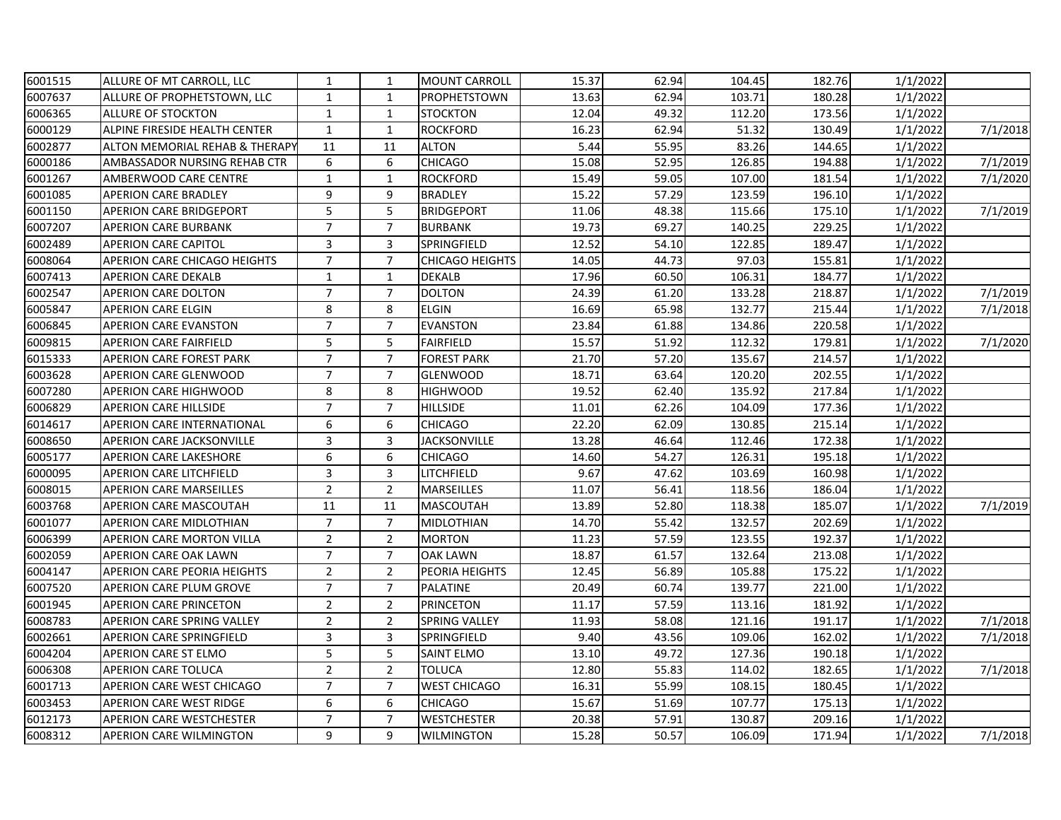| 6001515 | ALLURE OF MT CARROLL, LLC           | 1              | 1              | <b>MOUNT CARROLL</b>   | 15.37 | 62.94 | 104.45 | 182.76 | 1/1/2022 |          |
|---------|-------------------------------------|----------------|----------------|------------------------|-------|-------|--------|--------|----------|----------|
| 6007637 | ALLURE OF PROPHETSTOWN, LLC         | $\mathbf{1}$   | $\mathbf{1}$   | <b>PROPHETSTOWN</b>    | 13.63 | 62.94 | 103.71 | 180.28 | 1/1/2022 |          |
| 6006365 | <b>ALLURE OF STOCKTON</b>           | $\mathbf{1}$   | $\mathbf{1}$   | <b>STOCKTON</b>        | 12.04 | 49.32 | 112.20 | 173.56 | 1/1/2022 |          |
| 6000129 | ALPINE FIRESIDE HEALTH CENTER       | $\mathbf{1}$   | $\mathbf{1}$   | <b>ROCKFORD</b>        | 16.23 | 62.94 | 51.32  | 130.49 | 1/1/2022 | 7/1/2018 |
| 6002877 | ALTON MEMORIAL REHAB & THERAPY      | 11             | 11             | <b>ALTON</b>           | 5.44  | 55.95 | 83.26  | 144.65 | 1/1/2022 |          |
| 6000186 | AMBASSADOR NURSING REHAB CTR        | 6              | 6              | <b>CHICAGO</b>         | 15.08 | 52.95 | 126.85 | 194.88 | 1/1/2022 | 7/1/2019 |
| 6001267 | AMBERWOOD CARE CENTRE               | $\mathbf{1}$   | $\mathbf{1}$   | <b>ROCKFORD</b>        | 15.49 | 59.05 | 107.00 | 181.54 | 1/1/2022 | 7/1/2020 |
| 6001085 | <b>APERION CARE BRADLEY</b>         | 9              | 9              | <b>BRADLEY</b>         | 15.22 | 57.29 | 123.59 | 196.10 | 1/1/2022 |          |
| 6001150 | <b>APERION CARE BRIDGEPORT</b>      | 5              | 5              | <b>BRIDGEPORT</b>      | 11.06 | 48.38 | 115.66 | 175.10 | 1/1/2022 | 7/1/2019 |
| 6007207 | <b>APERION CARE BURBANK</b>         | $\overline{7}$ | $\overline{7}$ | <b>BURBANK</b>         | 19.73 | 69.27 | 140.25 | 229.25 | 1/1/2022 |          |
| 6002489 | <b>APERION CARE CAPITOL</b>         | 3              | 3              | SPRINGFIELD            | 12.52 | 54.10 | 122.85 | 189.47 | 1/1/2022 |          |
| 6008064 | <b>APERION CARE CHICAGO HEIGHTS</b> | $\overline{7}$ | $\overline{7}$ | <b>CHICAGO HEIGHTS</b> | 14.05 | 44.73 | 97.03  | 155.81 | 1/1/2022 |          |
| 6007413 | <b>APERION CARE DEKALB</b>          | $\mathbf{1}$   | $\mathbf{1}$   | <b>DEKALB</b>          | 17.96 | 60.50 | 106.31 | 184.77 | 1/1/2022 |          |
| 6002547 | APERION CARE DOLTON                 | $\overline{7}$ | $\overline{7}$ | <b>DOLTON</b>          | 24.39 | 61.20 | 133.28 | 218.87 | 1/1/2022 | 7/1/2019 |
| 6005847 | <b>APERION CARE ELGIN</b>           | 8              | 8              | <b>ELGIN</b>           | 16.69 | 65.98 | 132.77 | 215.44 | 1/1/2022 | 7/1/2018 |
| 6006845 | <b>APERION CARE EVANSTON</b>        | $\overline{7}$ | $\overline{7}$ | <b>EVANSTON</b>        | 23.84 | 61.88 | 134.86 | 220.58 | 1/1/2022 |          |
| 6009815 | <b>APERION CARE FAIRFIELD</b>       | 5              | 5              | <b>FAIRFIELD</b>       | 15.57 | 51.92 | 112.32 | 179.81 | 1/1/2022 | 7/1/2020 |
| 6015333 | <b>APERION CARE FOREST PARK</b>     | $\overline{7}$ | $\overline{7}$ | <b>FOREST PARK</b>     | 21.70 | 57.20 | 135.67 | 214.57 | 1/1/2022 |          |
| 6003628 | APERION CARE GLENWOOD               | $\overline{7}$ | $\overline{7}$ | <b>GLENWOOD</b>        | 18.71 | 63.64 | 120.20 | 202.55 | 1/1/2022 |          |
| 6007280 | APERION CARE HIGHWOOD               | 8              | 8              | <b>HIGHWOOD</b>        | 19.52 | 62.40 | 135.92 | 217.84 | 1/1/2022 |          |
| 6006829 | <b>APERION CARE HILLSIDE</b>        | $\overline{7}$ | $\overline{7}$ | <b>HILLSIDE</b>        | 11.01 | 62.26 | 104.09 | 177.36 | 1/1/2022 |          |
| 6014617 | APERION CARE INTERNATIONAL          | 6              | 6              | <b>CHICAGO</b>         | 22.20 | 62.09 | 130.85 | 215.14 | 1/1/2022 |          |
| 6008650 | <b>APERION CARE JACKSONVILLE</b>    | $\mathbf{3}$   | 3              | <b>JACKSONVILLE</b>    | 13.28 | 46.64 | 112.46 | 172.38 | 1/1/2022 |          |
| 6005177 | <b>APERION CARE LAKESHORE</b>       | 6              | 6              | <b>CHICAGO</b>         | 14.60 | 54.27 | 126.31 | 195.18 | 1/1/2022 |          |
| 6000095 | <b>APERION CARE LITCHFIELD</b>      | 3              | 3              | LITCHFIELD             | 9.67  | 47.62 | 103.69 | 160.98 | 1/1/2022 |          |
| 6008015 | <b>APERION CARE MARSEILLES</b>      | $\mathbf 2$    | $\overline{2}$ | <b>MARSEILLES</b>      | 11.07 | 56.41 | 118.56 | 186.04 | 1/1/2022 |          |
| 6003768 | <b>APERION CARE MASCOUTAH</b>       | 11             | 11             | <b>MASCOUTAH</b>       | 13.89 | 52.80 | 118.38 | 185.07 | 1/1/2022 | 7/1/2019 |
| 6001077 | APERION CARE MIDLOTHIAN             | $\overline{7}$ | $\overline{7}$ | <b>MIDLOTHIAN</b>      | 14.70 | 55.42 | 132.57 | 202.69 | 1/1/2022 |          |
| 6006399 | APERION CARE MORTON VILLA           | $\overline{2}$ | $\overline{2}$ | <b>MORTON</b>          | 11.23 | 57.59 | 123.55 | 192.37 | 1/1/2022 |          |
| 6002059 | <b>APERION CARE OAK LAWN</b>        | $\overline{7}$ | $\overline{7}$ | <b>OAK LAWN</b>        | 18.87 | 61.57 | 132.64 | 213.08 | 1/1/2022 |          |
| 6004147 | <b>APERION CARE PEORIA HEIGHTS</b>  | $\overline{2}$ | $\overline{2}$ | PEORIA HEIGHTS         | 12.45 | 56.89 | 105.88 | 175.22 | 1/1/2022 |          |
| 6007520 | <b>APERION CARE PLUM GROVE</b>      | $\overline{7}$ | $\overline{7}$ | <b>PALATINE</b>        | 20.49 | 60.74 | 139.77 | 221.00 | 1/1/2022 |          |
| 6001945 | <b>APERION CARE PRINCETON</b>       | $\overline{2}$ | $\overline{2}$ | <b>PRINCETON</b>       | 11.17 | 57.59 | 113.16 | 181.92 | 1/1/2022 |          |
| 6008783 | <b>APERION CARE SPRING VALLEY</b>   | $\overline{2}$ | $\overline{2}$ | SPRING VALLEY          | 11.93 | 58.08 | 121.16 | 191.17 | 1/1/2022 | 7/1/2018 |
| 6002661 | <b>APERION CARE SPRINGFIELD</b>     | 3              | 3              | <b>SPRINGFIELD</b>     | 9.40  | 43.56 | 109.06 | 162.02 | 1/1/2022 | 7/1/2018 |
| 6004204 | APERION CARE ST ELMO                | 5              | 5              | SAINT ELMO             | 13.10 | 49.72 | 127.36 | 190.18 | 1/1/2022 |          |
| 6006308 | <b>APERION CARE TOLUCA</b>          | $\overline{2}$ | $\overline{2}$ | <b>TOLUCA</b>          | 12.80 | 55.83 | 114.02 | 182.65 | 1/1/2022 | 7/1/2018 |
| 6001713 | APERION CARE WEST CHICAGO           | $\overline{7}$ | $\overline{7}$ | <b>WEST CHICAGO</b>    | 16.31 | 55.99 | 108.15 | 180.45 | 1/1/2022 |          |
| 6003453 | <b>APERION CARE WEST RIDGE</b>      | 6              | 6              | <b>CHICAGO</b>         | 15.67 | 51.69 | 107.77 | 175.13 | 1/1/2022 |          |
| 6012173 | <b>APERION CARE WESTCHESTER</b>     | $\overline{7}$ | $\overline{7}$ | <b>WESTCHESTER</b>     | 20.38 | 57.91 | 130.87 | 209.16 | 1/1/2022 |          |
| 6008312 | <b>APERION CARE WILMINGTON</b>      | 9              | 9              | <b>WILMINGTON</b>      | 15.28 | 50.57 | 106.09 | 171.94 | 1/1/2022 | 7/1/2018 |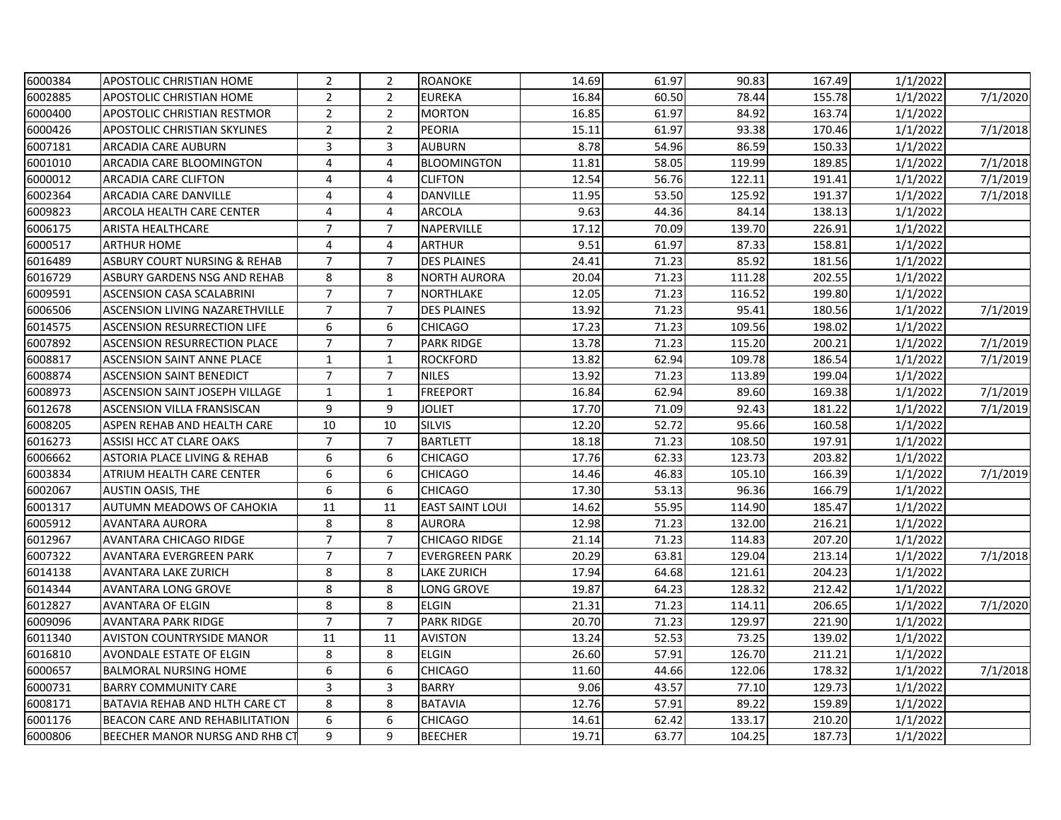| 6000384 | APOSTOLIC CHRISTIAN HOME              | $\overline{2}$   | $\overline{2}$ | <b>ROANOKE</b>         | 14.69 | 61.97 | 90.83  | 167.49 | 1/1/2022 |                       |
|---------|---------------------------------------|------------------|----------------|------------------------|-------|-------|--------|--------|----------|-----------------------|
| 6002885 | <b>APOSTOLIC CHRISTIAN HOME</b>       | $\overline{2}$   | $\overline{2}$ | <b>EUREKA</b>          | 16.84 | 60.50 | 78.44  | 155.78 | 1/1/2022 | 7/1/2020              |
| 6000400 | <b>APOSTOLIC CHRISTIAN RESTMOR</b>    | $\overline{2}$   | $\overline{2}$ | <b>MORTON</b>          | 16.85 | 61.97 | 84.92  | 163.74 | 1/1/2022 |                       |
| 6000426 | <b>APOSTOLIC CHRISTIAN SKYLINES</b>   | $\overline{2}$   | $\overline{2}$ | <b>PEORIA</b>          | 15.11 | 61.97 | 93.38  | 170.46 | 1/1/2022 | 7/1/2018              |
| 6007181 | ARCADIA CARE AUBURN                   | 3                | $\overline{3}$ | <b>AUBURN</b>          | 8.78  | 54.96 | 86.59  | 150.33 | 1/1/2022 |                       |
| 6001010 | ARCADIA CARE BLOOMINGTON              | $\overline{4}$   | 4              | <b>BLOOMINGTON</b>     | 11.81 | 58.05 | 119.99 | 189.85 | 1/1/2022 | 7/1/2018              |
| 6000012 | <b>ARCADIA CARE CLIFTON</b>           | 4                | 4              | <b>CLIFTON</b>         | 12.54 | 56.76 | 122.11 | 191.41 | 1/1/2022 | 7/1/2019              |
| 6002364 | <b>ARCADIA CARE DANVILLE</b>          | $\overline{4}$   | 4              | <b>DANVILLE</b>        | 11.95 | 53.50 | 125.92 | 191.37 | 1/1/2022 | $\frac{1}{7}$ /1/2018 |
| 6009823 | <b>ARCOLA HEALTH CARE CENTER</b>      | 4                | $\overline{4}$ | <b>ARCOLA</b>          | 9.63  | 44.36 | 84.14  | 138.13 | 1/1/2022 |                       |
| 6006175 | <b>ARISTA HEALTHCARE</b>              | $\overline{7}$   | $\overline{7}$ | NAPERVILLE             | 17.12 | 70.09 | 139.70 | 226.91 | 1/1/2022 |                       |
| 6000517 | <b>ARTHUR HOME</b>                    | $\overline{4}$   | $\overline{4}$ | <b>ARTHUR</b>          | 9.51  | 61.97 | 87.33  | 158.81 | 1/1/2022 |                       |
| 6016489 | ASBURY COURT NURSING & REHAB          | $\overline{7}$   | $\overline{7}$ | <b>DES PLAINES</b>     | 24.41 | 71.23 | 85.92  | 181.56 | 1/1/2022 |                       |
| 6016729 | ASBURY GARDENS NSG AND REHAB          | 8                | 8              | <b>NORTH AURORA</b>    | 20.04 | 71.23 | 111.28 | 202.55 | 1/1/2022 |                       |
| 6009591 | <b>ASCENSION CASA SCALABRINI</b>      | $\overline{7}$   | $\overline{7}$ | NORTHLAKE              | 12.05 | 71.23 | 116.52 | 199.80 | 1/1/2022 |                       |
| 6006506 | <b>ASCENSION LIVING NAZARETHVILLE</b> | $\overline{7}$   | $\overline{7}$ | <b>DES PLAINES</b>     | 13.92 | 71.23 | 95.41  | 180.56 | 1/1/2022 | 7/1/2019              |
| 6014575 | <b>ASCENSION RESURRECTION LIFE</b>    | 6                | 6              | CHICAGO                | 17.23 | 71.23 | 109.56 | 198.02 | 1/1/2022 |                       |
| 6007892 | <b>ASCENSION RESURRECTION PLACE</b>   | $\overline{7}$   | $\overline{7}$ | <b>PARK RIDGE</b>      | 13.78 | 71.23 | 115.20 | 200.21 | 1/1/2022 | 7/1/2019              |
| 6008817 | <b>ASCENSION SAINT ANNE PLACE</b>     | $\mathbf 1$      | $\mathbf{1}$   | <b>ROCKFORD</b>        | 13.82 | 62.94 | 109.78 | 186.54 | 1/1/2022 | 7/1/2019              |
| 6008874 | <b>ASCENSION SAINT BENEDICT</b>       | $\overline{7}$   | $\overline{7}$ | <b>NILES</b>           | 13.92 | 71.23 | 113.89 | 199.04 | 1/1/2022 |                       |
| 6008973 | <b>ASCENSION SAINT JOSEPH VILLAGE</b> | $\mathbf{1}$     | $\mathbf{1}$   | <b>FREEPORT</b>        | 16.84 | 62.94 | 89.60  | 169.38 | 1/1/2022 | 7/1/2019              |
| 6012678 | <b>ASCENSION VILLA FRANSISCAN</b>     | 9                | 9              | <b>JOLIET</b>          | 17.70 | 71.09 | 92.43  | 181.22 | 1/1/2022 | 7/1/2019              |
| 6008205 | ASPEN REHAB AND HEALTH CARE           | 10               | 10             | <b>SILVIS</b>          | 12.20 | 52.72 | 95.66  | 160.58 | 1/1/2022 |                       |
| 6016273 | ASSISI HCC AT CLARE OAKS              | $\overline{7}$   | $\overline{7}$ | <b>BARTLETT</b>        | 18.18 | 71.23 | 108.50 | 197.91 | 1/1/2022 |                       |
| 6006662 | ASTORIA PLACE LIVING & REHAB          | 6                | 6              | <b>CHICAGO</b>         | 17.76 | 62.33 | 123.73 | 203.82 | 1/1/2022 |                       |
| 6003834 | ATRIUM HEALTH CARE CENTER             | 6                | 6              | <b>CHICAGO</b>         | 14.46 | 46.83 | 105.10 | 166.39 | 1/1/2022 | 7/1/2019              |
| 6002067 | <b>AUSTIN OASIS, THE</b>              | 6                | 6              | <b>CHICAGO</b>         | 17.30 | 53.13 | 96.36  | 166.79 | 1/1/2022 |                       |
| 6001317 | AUTUMN MEADOWS OF CAHOKIA             | 11               | 11             | <b>EAST SAINT LOUI</b> | 14.62 | 55.95 | 114.90 | 185.47 | 1/1/2022 |                       |
| 6005912 | <b>AVANTARA AURORA</b>                | 8                | 8              | <b>AURORA</b>          | 12.98 | 71.23 | 132.00 | 216.21 | 1/1/2022 |                       |
| 6012967 | AVANTARA CHICAGO RIDGE                | $\overline{7}$   | $\overline{7}$ | <b>CHICAGO RIDGE</b>   | 21.14 | 71.23 | 114.83 | 207.20 | 1/1/2022 |                       |
| 6007322 | <b>AVANTARA EVERGREEN PARK</b>        | $\overline{7}$   | $\overline{7}$ | <b>EVERGREEN PARK</b>  | 20.29 | 63.81 | 129.04 | 213.14 | 1/1/2022 | $\frac{1}{7}$ /1/2018 |
| 6014138 | <b>AVANTARA LAKE ZURICH</b>           | 8                | 8              | <b>LAKE ZURICH</b>     | 17.94 | 64.68 | 121.61 | 204.23 | 1/1/2022 |                       |
| 6014344 | <b>AVANTARA LONG GROVE</b>            | 8                | 8              | LONG GROVE             | 19.87 | 64.23 | 128.32 | 212.42 | 1/1/2022 |                       |
| 6012827 | <b>AVANTARA OF ELGIN</b>              | 8                | 8              | <b>ELGIN</b>           | 21.31 | 71.23 | 114.11 | 206.65 | 1/1/2022 | 7/1/2020              |
| 6009096 | <b>AVANTARA PARK RIDGE</b>            | $\overline{7}$   | $\overline{7}$ | <b>PARK RIDGE</b>      | 20.70 | 71.23 | 129.97 | 221.90 | 1/1/2022 |                       |
| 6011340 | <b>AVISTON COUNTRYSIDE MANOR</b>      | 11               | 11             | <b>AVISTON</b>         | 13.24 | 52.53 | 73.25  | 139.02 | 1/1/2022 |                       |
| 6016810 | AVONDALE ESTATE OF ELGIN              | $\,8\,$          | 8              | <b>ELGIN</b>           | 26.60 | 57.91 | 126.70 | 211.21 | 1/1/2022 |                       |
| 6000657 | <b>BALMORAL NURSING HOME</b>          | 6                | 6              | <b>CHICAGO</b>         | 11.60 | 44.66 | 122.06 | 178.32 | 1/1/2022 | 7/1/2018              |
| 6000731 | <b>BARRY COMMUNITY CARE</b>           | 3                | 3              | <b>BARRY</b>           | 9.06  | 43.57 | 77.10  | 129.73 | 1/1/2022 |                       |
| 6008171 | <b>BATAVIA REHAB AND HLTH CARE CT</b> | 8                | 8              | <b>BATAVIA</b>         | 12.76 | 57.91 | 89.22  | 159.89 | 1/1/2022 |                       |
| 6001176 | <b>BEACON CARE AND REHABILITATION</b> | $\boldsymbol{6}$ | 6              | <b>CHICAGO</b>         | 14.61 | 62.42 | 133.17 | 210.20 | 1/1/2022 |                       |
| 6000806 | BEECHER MANOR NURSG AND RHB C         | 9                | 9              | <b>BEECHER</b>         | 19.71 | 63.77 | 104.25 | 187.73 | 1/1/2022 |                       |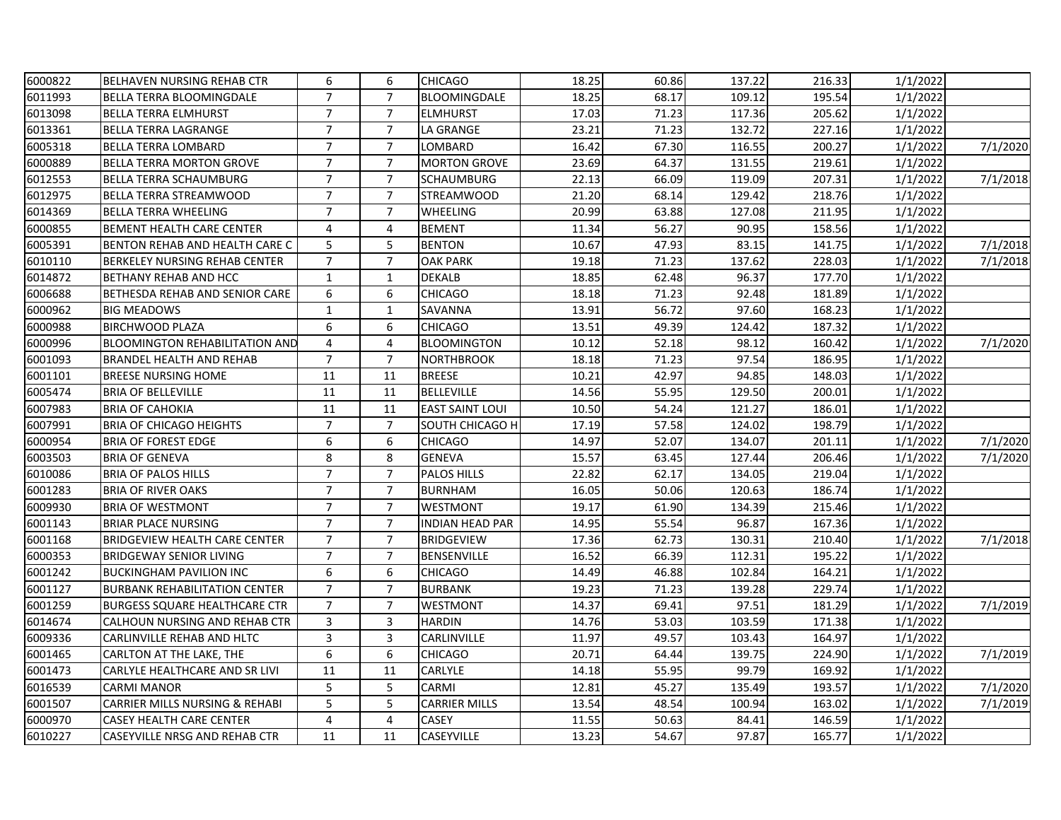| 6000822 | <b>BELHAVEN NURSING REHAB CTR</b>     | 6              | 6              | <b>CHICAGO</b>         | 18.25 | 60.86 | 137.22 | 216.33 | 1/1/2022 |          |
|---------|---------------------------------------|----------------|----------------|------------------------|-------|-------|--------|--------|----------|----------|
| 6011993 | <b>BELLA TERRA BLOOMINGDALE</b>       | $\overline{7}$ | $\overline{7}$ | BLOOMINGDALE           | 18.25 | 68.17 | 109.12 | 195.54 | 1/1/2022 |          |
| 6013098 | <b>BELLA TERRA ELMHURST</b>           | $\overline{7}$ | $\overline{7}$ | <b>ELMHURST</b>        | 17.03 | 71.23 | 117.36 | 205.62 | 1/1/2022 |          |
| 6013361 | <b>BELLA TERRA LAGRANGE</b>           | $\overline{7}$ | $\overline{7}$ | LA GRANGE              | 23.21 | 71.23 | 132.72 | 227.16 | 1/1/2022 |          |
| 6005318 | <b>BELLA TERRA LOMBARD</b>            | $\overline{7}$ | $\overline{7}$ | LOMBARD                | 16.42 | 67.30 | 116.55 | 200.27 | 1/1/2022 | 7/1/2020 |
| 6000889 | <b>BELLA TERRA MORTON GROVE</b>       | $\overline{7}$ | $\overline{7}$ | <b>MORTON GROVE</b>    | 23.69 | 64.37 | 131.55 | 219.61 | 1/1/2022 |          |
| 6012553 | <b>BELLA TERRA SCHAUMBURG</b>         | $\overline{7}$ | $\overline{7}$ | <b>SCHAUMBURG</b>      | 22.13 | 66.09 | 119.09 | 207.31 | 1/1/2022 | 7/1/2018 |
| 6012975 | <b>BELLA TERRA STREAMWOOD</b>         | $\overline{7}$ | $\overline{7}$ | <b>STREAMWOOD</b>      | 21.20 | 68.14 | 129.42 | 218.76 | 1/1/2022 |          |
| 6014369 | <b>BELLA TERRA WHEELING</b>           | $\overline{7}$ | $\overline{7}$ | <b>WHEELING</b>        | 20.99 | 63.88 | 127.08 | 211.95 | 1/1/2022 |          |
| 6000855 | <b>BEMENT HEALTH CARE CENTER</b>      | 4              | 4              | <b>BEMENT</b>          | 11.34 | 56.27 | 90.95  | 158.56 | 1/1/2022 |          |
| 6005391 | BENTON REHAB AND HEALTH CARE C        | 5              | 5              | <b>BENTON</b>          | 10.67 | 47.93 | 83.15  | 141.75 | 1/1/2022 | 7/1/2018 |
| 6010110 | <b>BERKELEY NURSING REHAB CENTER</b>  | $\overline{7}$ | $\overline{7}$ | <b>OAK PARK</b>        | 19.18 | 71.23 | 137.62 | 228.03 | 1/1/2022 | 7/1/2018 |
| 6014872 | <b>BETHANY REHAB AND HCC</b>          | $\mathbf{1}$   | $\mathbf{1}$   | <b>DEKALB</b>          | 18.85 | 62.48 | 96.37  | 177.70 | 1/1/2022 |          |
| 6006688 | BETHESDA REHAB AND SENIOR CARE        | 6              | 6              | <b>CHICAGO</b>         | 18.18 | 71.23 | 92.48  | 181.89 | 1/1/2022 |          |
| 6000962 | <b>BIG MEADOWS</b>                    | $\mathbf{1}$   | $\mathbf{1}$   | SAVANNA                | 13.91 | 56.72 | 97.60  | 168.23 | 1/1/2022 |          |
| 6000988 | <b>BIRCHWOOD PLAZA</b>                | 6              | 6              | <b>CHICAGO</b>         | 13.51 | 49.39 | 124.42 | 187.32 | 1/1/2022 |          |
| 6000996 | <b>BLOOMINGTON REHABILITATION AND</b> | 4              | $\overline{4}$ | <b>BLOOMINGTON</b>     | 10.12 | 52.18 | 98.12  | 160.42 | 1/1/2022 | 7/1/2020 |
| 6001093 | <b>BRANDEL HEALTH AND REHAB</b>       | $\overline{7}$ | $\overline{7}$ | <b>NORTHBROOK</b>      | 18.18 | 71.23 | 97.54  | 186.95 | 1/1/2022 |          |
| 6001101 | <b>BREESE NURSING HOME</b>            | 11             | 11             | <b>BREESE</b>          | 10.21 | 42.97 | 94.85  | 148.03 | 1/1/2022 |          |
| 6005474 | <b>BRIA OF BELLEVILLE</b>             | 11             | 11             | <b>BELLEVILLE</b>      | 14.56 | 55.95 | 129.50 | 200.01 | 1/1/2022 |          |
| 6007983 | <b>BRIA OF CAHOKIA</b>                | 11             | 11             | <b>EAST SAINT LOUI</b> | 10.50 | 54.24 | 121.27 | 186.01 | 1/1/2022 |          |
| 6007991 | <b>BRIA OF CHICAGO HEIGHTS</b>        | $\overline{7}$ | $\overline{7}$ | SOUTH CHICAGO H        | 17.19 | 57.58 | 124.02 | 198.79 | 1/1/2022 |          |
| 6000954 | <b>BRIA OF FOREST EDGE</b>            | 6              | 6              | <b>CHICAGO</b>         | 14.97 | 52.07 | 134.07 | 201.11 | 1/1/2022 | 7/1/2020 |
| 6003503 | <b>BRIA OF GENEVA</b>                 | 8              | 8              | <b>GENEVA</b>          | 15.57 | 63.45 | 127.44 | 206.46 | 1/1/2022 | 7/1/2020 |
| 6010086 | <b>BRIA OF PALOS HILLS</b>            | $\overline{7}$ | $\overline{7}$ | <b>PALOS HILLS</b>     | 22.82 | 62.17 | 134.05 | 219.04 | 1/1/2022 |          |
| 6001283 | <b>BRIA OF RIVER OAKS</b>             | $\overline{7}$ | $\overline{7}$ | <b>BURNHAM</b>         | 16.05 | 50.06 | 120.63 | 186.74 | 1/1/2022 |          |
| 6009930 | <b>BRIA OF WESTMONT</b>               | $\overline{7}$ | $\overline{7}$ | WESTMONT               | 19.17 | 61.90 | 134.39 | 215.46 | 1/1/2022 |          |
| 6001143 | <b>BRIAR PLACE NURSING</b>            | $\overline{7}$ | $\overline{7}$ | <b>INDIAN HEAD PAR</b> | 14.95 | 55.54 | 96.87  | 167.36 | 1/1/2022 |          |
| 6001168 | <b>BRIDGEVIEW HEALTH CARE CENTER</b>  | $\overline{7}$ | $\overline{7}$ | <b>BRIDGEVIEW</b>      | 17.36 | 62.73 | 130.31 | 210.40 | 1/1/2022 | 7/1/2018 |
| 6000353 | <b>BRIDGEWAY SENIOR LIVING</b>        | $\overline{7}$ | $\overline{7}$ | <b>BENSENVILLE</b>     | 16.52 | 66.39 | 112.31 | 195.22 | 1/1/2022 |          |
| 6001242 | <b>BUCKINGHAM PAVILION INC</b>        | 6              | 6              | <b>CHICAGO</b>         | 14.49 | 46.88 | 102.84 | 164.21 | 1/1/2022 |          |
| 6001127 | <b>BURBANK REHABILITATION CENTER</b>  | $\overline{7}$ | $\overline{7}$ | <b>BURBANK</b>         | 19.23 | 71.23 | 139.28 | 229.74 | 1/1/2022 |          |
| 6001259 | <b>BURGESS SQUARE HEALTHCARE CTR</b>  | $\overline{7}$ | $\overline{7}$ | WESTMONT               | 14.37 | 69.41 | 97.51  | 181.29 | 1/1/2022 | 7/1/2019 |
| 6014674 | CALHOUN NURSING AND REHAB CTR         | $\overline{3}$ | 3              | <b>HARDIN</b>          | 14.76 | 53.03 | 103.59 | 171.38 | 1/1/2022 |          |
| 6009336 | CARLINVILLE REHAB AND HLTC            | 3              | 3              | CARLINVILLE            | 11.97 | 49.57 | 103.43 | 164.97 | 1/1/2022 |          |
| 6001465 | CARLTON AT THE LAKE, THE              | 6              | 6              | <b>CHICAGO</b>         | 20.71 | 64.44 | 139.75 | 224.90 | 1/1/2022 | 7/1/2019 |
| 6001473 | CARLYLE HEALTHCARE AND SR LIVI        | 11             | 11             | CARLYLE                | 14.18 | 55.95 | 99.79  | 169.92 | 1/1/2022 |          |
| 6016539 | <b>CARMI MANOR</b>                    | 5              | 5              | <b>CARMI</b>           | 12.81 | 45.27 | 135.49 | 193.57 | 1/1/2022 | 7/1/2020 |
| 6001507 | CARRIER MILLS NURSING & REHABI        | 5              | 5              | <b>CARRIER MILLS</b>   | 13.54 | 48.54 | 100.94 | 163.02 | 1/1/2022 | 7/1/2019 |
| 6000970 | <b>CASEY HEALTH CARE CENTER</b>       | 4              | $\overline{4}$ | CASEY                  | 11.55 | 50.63 | 84.41  | 146.59 | 1/1/2022 |          |
| 6010227 | <b>CASEYVILLE NRSG AND REHAB CTR</b>  | 11             | 11             | CASEYVILLE             | 13.23 | 54.67 | 97.87  | 165.77 | 1/1/2022 |          |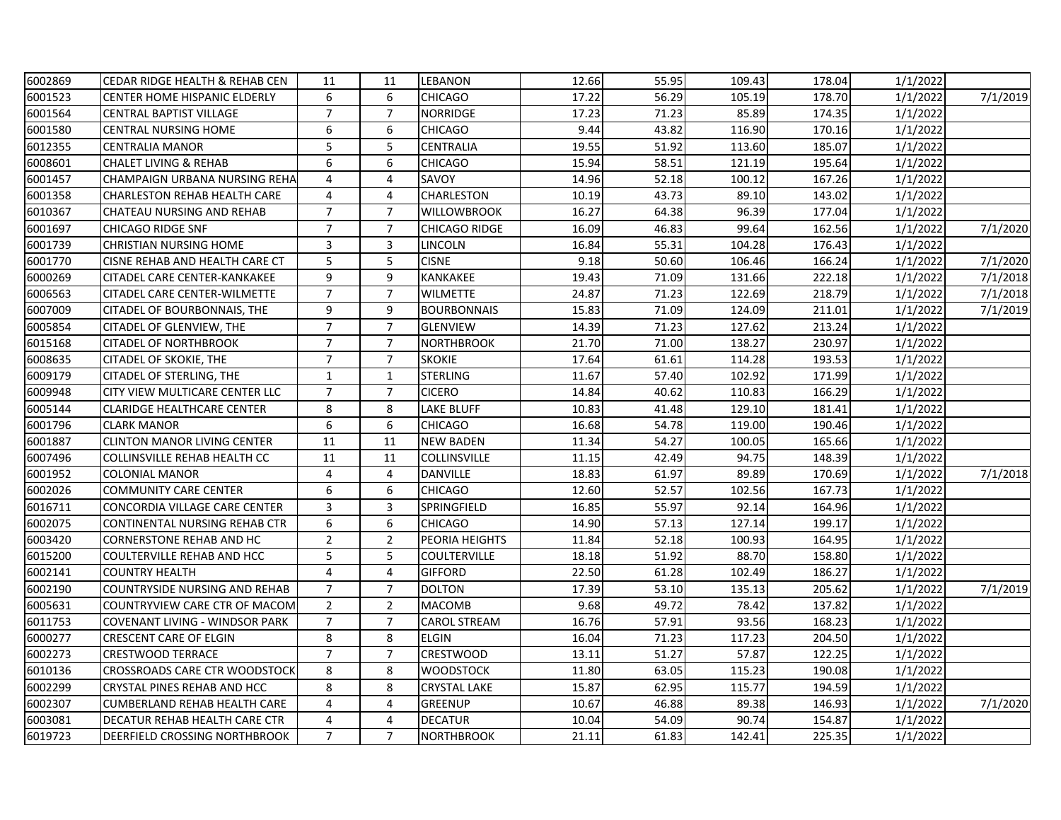| 6002869 | CEDAR RIDGE HEALTH & REHAB CEN       | 11             | 11             | LEBANON              | 12.66 | 55.95 | 109.43 | 178.04 | 1/1/2022 |          |
|---------|--------------------------------------|----------------|----------------|----------------------|-------|-------|--------|--------|----------|----------|
| 6001523 | <b>CENTER HOME HISPANIC ELDERLY</b>  | 6              | 6              | <b>CHICAGO</b>       | 17.22 | 56.29 | 105.19 | 178.70 | 1/1/2022 | 7/1/2019 |
| 6001564 | <b>CENTRAL BAPTIST VILLAGE</b>       | $\overline{7}$ | $\overline{7}$ | <b>NORRIDGE</b>      | 17.23 | 71.23 | 85.89  | 174.35 | 1/1/2022 |          |
| 6001580 | <b>CENTRAL NURSING HOME</b>          | 6              | 6              | <b>CHICAGO</b>       | 9.44  | 43.82 | 116.90 | 170.16 | 1/1/2022 |          |
| 6012355 | <b>CENTRALIA MANOR</b>               | 5              | 5              | CENTRALIA            | 19.55 | 51.92 | 113.60 | 185.07 | 1/1/2022 |          |
| 6008601 | <b>CHALET LIVING &amp; REHAB</b>     | 6              | 6              | <b>CHICAGO</b>       | 15.94 | 58.51 | 121.19 | 195.64 | 1/1/2022 |          |
| 6001457 | CHAMPAIGN URBANA NURSING REHA        | 4              | 4              | SAVOY                | 14.96 | 52.18 | 100.12 | 167.26 | 1/1/2022 |          |
| 6001358 | <b>CHARLESTON REHAB HEALTH CARE</b>  | $\overline{4}$ | 4              | <b>CHARLESTON</b>    | 10.19 | 43.73 | 89.10  | 143.02 | 1/1/2022 |          |
| 6010367 | CHATEAU NURSING AND REHAB            | $\overline{7}$ | $\overline{7}$ | <b>WILLOWBROOK</b>   | 16.27 | 64.38 | 96.39  | 177.04 | 1/1/2022 |          |
| 6001697 | <b>CHICAGO RIDGE SNF</b>             | $\overline{7}$ | $\overline{7}$ | <b>CHICAGO RIDGE</b> | 16.09 | 46.83 | 99.64  | 162.56 | 1/1/2022 | 7/1/2020 |
| 6001739 | <b>CHRISTIAN NURSING HOME</b>        | 3              | 3              | LINCOLN              | 16.84 | 55.31 | 104.28 | 176.43 | 1/1/2022 |          |
| 6001770 | CISNE REHAB AND HEALTH CARE CT       | 5              | 5              | <b>CISNE</b>         | 9.18  | 50.60 | 106.46 | 166.24 | 1/1/2022 | 7/1/2020 |
| 6000269 | CITADEL CARE CENTER-KANKAKEE         | 9              | 9              | KANKAKEE             | 19.43 | 71.09 | 131.66 | 222.18 | 1/1/2022 | 7/1/2018 |
| 6006563 | CITADEL CARE CENTER-WILMETTE         | $\overline{7}$ | $\overline{7}$ | <b>WILMETTE</b>      | 24.87 | 71.23 | 122.69 | 218.79 | 1/1/2022 | 7/1/2018 |
| 6007009 | CITADEL OF BOURBONNAIS, THE          | 9              | 9              | <b>BOURBONNAIS</b>   | 15.83 | 71.09 | 124.09 | 211.01 | 1/1/2022 | 7/1/2019 |
| 6005854 | CITADEL OF GLENVIEW, THE             | $\overline{7}$ | $\overline{7}$ | <b>GLENVIEW</b>      | 14.39 | 71.23 | 127.62 | 213.24 | 1/1/2022 |          |
| 6015168 | <b>CITADEL OF NORTHBROOK</b>         | $\overline{7}$ | $\overline{7}$ | <b>NORTHBROOK</b>    | 21.70 | 71.00 | 138.27 | 230.97 | 1/1/2022 |          |
| 6008635 | <b>CITADEL OF SKOKIE, THE</b>        | $\overline{7}$ | $\overline{7}$ | <b>SKOKIE</b>        | 17.64 | 61.61 | 114.28 | 193.53 | 1/1/2022 |          |
| 6009179 | CITADEL OF STERLING, THE             | $\mathbf{1}$   | $\mathbf{1}$   | <b>STERLING</b>      | 11.67 | 57.40 | 102.92 | 171.99 | 1/1/2022 |          |
| 6009948 | CITY VIEW MULTICARE CENTER LLC       | $\overline{7}$ | $\overline{7}$ | <b>CICERO</b>        | 14.84 | 40.62 | 110.83 | 166.29 | 1/1/2022 |          |
| 6005144 | <b>CLARIDGE HEALTHCARE CENTER</b>    | 8              | 8              | LAKE BLUFF           | 10.83 | 41.48 | 129.10 | 181.41 | 1/1/2022 |          |
| 6001796 | <b>CLARK MANOR</b>                   | 6              | 6              | <b>CHICAGO</b>       | 16.68 | 54.78 | 119.00 | 190.46 | 1/1/2022 |          |
| 6001887 | <b>CLINTON MANOR LIVING CENTER</b>   | 11             | 11             | <b>NEW BADEN</b>     | 11.34 | 54.27 | 100.05 | 165.66 | 1/1/2022 |          |
| 6007496 | COLLINSVILLE REHAB HEALTH CC         | 11             | 11             | COLLINSVILLE         | 11.15 | 42.49 | 94.75  | 148.39 | 1/1/2022 |          |
| 6001952 | <b>COLONIAL MANOR</b>                | $\overline{4}$ | 4              | <b>DANVILLE</b>      | 18.83 | 61.97 | 89.89  | 170.69 | 1/1/2022 | 7/1/2018 |
| 6002026 | <b>COMMUNITY CARE CENTER</b>         | 6              | 6              | <b>CHICAGO</b>       | 12.60 | 52.57 | 102.56 | 167.73 | 1/1/2022 |          |
| 6016711 | CONCORDIA VILLAGE CARE CENTER        | 3              | 3              | SPRINGFIELD          | 16.85 | 55.97 | 92.14  | 164.96 | 1/1/2022 |          |
| 6002075 | CONTINENTAL NURSING REHAB CTR        | 6              | 6              | <b>CHICAGO</b>       | 14.90 | 57.13 | 127.14 | 199.17 | 1/1/2022 |          |
| 6003420 | <b>CORNERSTONE REHAB AND HC</b>      | $\mathbf 2$    | $\overline{2}$ | PEORIA HEIGHTS       | 11.84 | 52.18 | 100.93 | 164.95 | 1/1/2022 |          |
| 6015200 | <b>COULTERVILLE REHAB AND HCC</b>    | 5              | 5              | COULTERVILLE         | 18.18 | 51.92 | 88.70  | 158.80 | 1/1/2022 |          |
| 6002141 | <b>COUNTRY HEALTH</b>                | 4              | 4              | <b>GIFFORD</b>       | 22.50 | 61.28 | 102.49 | 186.27 | 1/1/2022 |          |
| 6002190 | COUNTRYSIDE NURSING AND REHAB        | $\overline{7}$ | $\overline{7}$ | <b>DOLTON</b>        | 17.39 | 53.10 | 135.13 | 205.62 | 1/1/2022 | 7/1/2019 |
| 6005631 | COUNTRYVIEW CARE CTR OF MACOM        | $\overline{2}$ | $\overline{2}$ | <b>MACOMB</b>        | 9.68  | 49.72 | 78.42  | 137.82 | 1/1/2022 |          |
| 6011753 | COVENANT LIVING - WINDSOR PARK       | $\overline{7}$ | $\overline{7}$ | <b>CAROL STREAM</b>  | 16.76 | 57.91 | 93.56  | 168.23 | 1/1/2022 |          |
| 6000277 | <b>CRESCENT CARE OF ELGIN</b>        | 8              | 8              | <b>ELGIN</b>         | 16.04 | 71.23 | 117.23 | 204.50 | 1/1/2022 |          |
| 6002273 | CRESTWOOD TERRACE                    | $\overline{7}$ | $\overline{7}$ | CRESTWOOD            | 13.11 | 51.27 | 57.87  | 122.25 | 1/1/2022 |          |
| 6010136 | <b>CROSSROADS CARE CTR WOODSTOCK</b> | 8              | 8              | <b>WOODSTOCK</b>     | 11.80 | 63.05 | 115.23 | 190.08 | 1/1/2022 |          |
| 6002299 | CRYSTAL PINES REHAB AND HCC          | 8              | 8              | <b>CRYSTAL LAKE</b>  | 15.87 | 62.95 | 115.77 | 194.59 | 1/1/2022 |          |
| 6002307 | <b>CUMBERLAND REHAB HEALTH CARE</b>  | 4              | 4              | <b>GREENUP</b>       | 10.67 | 46.88 | 89.38  | 146.93 | 1/1/2022 | 7/1/2020 |
| 6003081 | DECATUR REHAB HEALTH CARE CTR        | $\overline{4}$ | 4              | <b>DECATUR</b>       | 10.04 | 54.09 | 90.74  | 154.87 | 1/1/2022 |          |
| 6019723 | DEERFIELD CROSSING NORTHBROOK        | $\overline{7}$ | $\overline{7}$ | <b>NORTHBROOK</b>    | 21.11 | 61.83 | 142.41 | 225.35 | 1/1/2022 |          |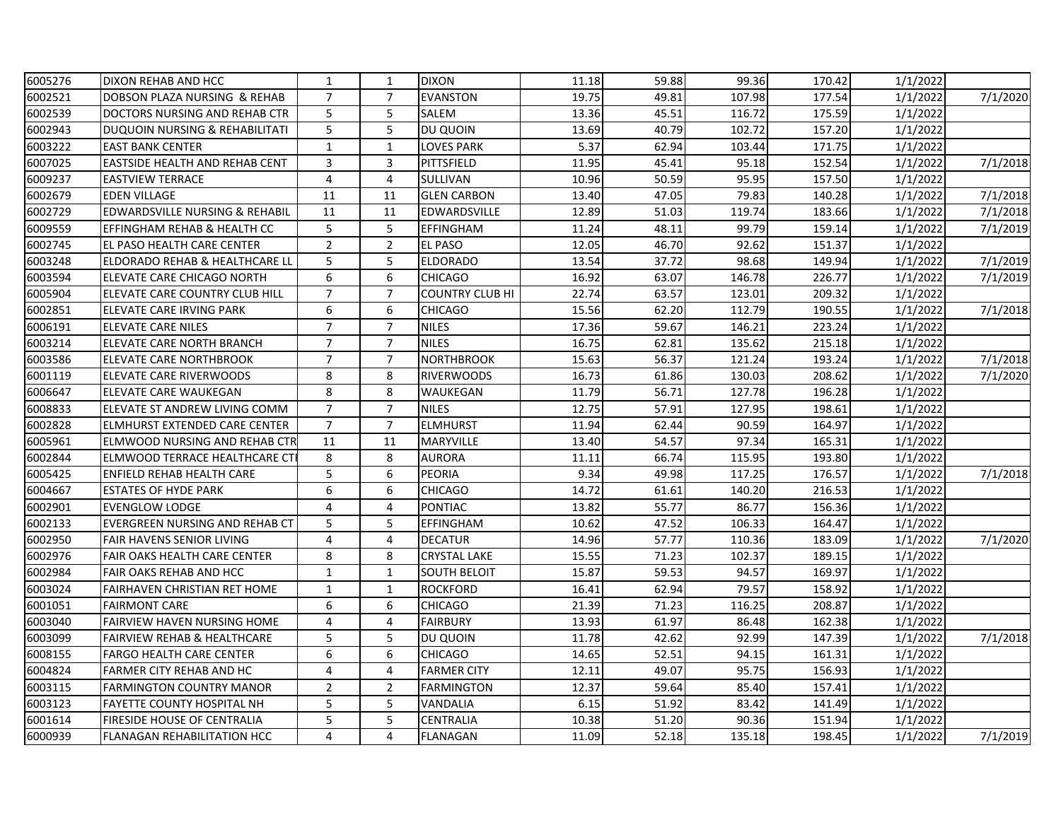| 6005276 | DIXON REHAB AND HCC                       | $\mathbf{1}$   | $\mathbf{1}$   | <b>DIXON</b>           | 11.18 | 59.88 | 99.36  | 170.42 | 1/1/2022 |          |
|---------|-------------------------------------------|----------------|----------------|------------------------|-------|-------|--------|--------|----------|----------|
| 6002521 | DOBSON PLAZA NURSING & REHAB              | $\overline{7}$ | $\overline{7}$ | <b>EVANSTON</b>        | 19.75 | 49.81 | 107.98 | 177.54 | 1/1/2022 | 7/1/2020 |
| 6002539 | DOCTORS NURSING AND REHAB CTR             | 5              | 5              | <b>SALEM</b>           | 13.36 | 45.51 | 116.72 | 175.59 | 1/1/2022 |          |
| 6002943 | DUQUOIN NURSING & REHABILITATI            | 5              | 5              | DU QUOIN               | 13.69 | 40.79 | 102.72 | 157.20 | 1/1/2022 |          |
| 6003222 | <b>EAST BANK CENTER</b>                   | $\mathbf{1}$   | $\mathbf{1}$   | LOVES PARK             | 5.37  | 62.94 | 103.44 | 171.75 | 1/1/2022 |          |
| 6007025 | <b>EASTSIDE HEALTH AND REHAB CENT</b>     | 3              | 3              | PITTSFIELD             | 11.95 | 45.41 | 95.18  | 152.54 | 1/1/2022 | 7/1/2018 |
| 6009237 | <b>EASTVIEW TERRACE</b>                   | $\overline{4}$ | 4              | <b>SULLIVAN</b>        | 10.96 | 50.59 | 95.95  | 157.50 | 1/1/2022 |          |
| 6002679 | <b>EDEN VILLAGE</b>                       | 11             | 11             | <b>GLEN CARBON</b>     | 13.40 | 47.05 | 79.83  | 140.28 | 1/1/2022 | 7/1/2018 |
| 6002729 | <b>EDWARDSVILLE NURSING &amp; REHABIL</b> | 11             | 11             | <b>EDWARDSVILLE</b>    | 12.89 | 51.03 | 119.74 | 183.66 | 1/1/2022 | 7/1/2018 |
| 6009559 | EFFINGHAM REHAB & HEALTH CC               | 5              | 5              | <b>EFFINGHAM</b>       | 11.24 | 48.11 | 99.79  | 159.14 | 1/1/2022 | 7/1/2019 |
| 6002745 | EL PASO HEALTH CARE CENTER                | $\overline{2}$ | $\overline{2}$ | EL PASO                | 12.05 | 46.70 | 92.62  | 151.37 | 1/1/2022 |          |
| 6003248 | ELDORADO REHAB & HEALTHCARE LI            | 5              | 5              | <b>ELDORADO</b>        | 13.54 | 37.72 | 98.68  | 149.94 | 1/1/2022 | 7/1/2019 |
| 6003594 | ELEVATE CARE CHICAGO NORTH                | 6              | 6              | <b>CHICAGO</b>         | 16.92 | 63.07 | 146.78 | 226.77 | 1/1/2022 | 7/1/2019 |
| 6005904 | ELEVATE CARE COUNTRY CLUB HILL            | $\overline{7}$ | $\overline{7}$ | <b>COUNTRY CLUB HI</b> | 22.74 | 63.57 | 123.01 | 209.32 | 1/1/2022 |          |
| 6002851 | ELEVATE CARE IRVING PARK                  | 6              | 6              | <b>CHICAGO</b>         | 15.56 | 62.20 | 112.79 | 190.55 | 1/1/2022 | 7/1/2018 |
| 6006191 | <b>ELEVATE CARE NILES</b>                 | $\overline{7}$ | $\overline{7}$ | <b>NILES</b>           | 17.36 | 59.67 | 146.21 | 223.24 | 1/1/2022 |          |
| 6003214 | <b>ELEVATE CARE NORTH BRANCH</b>          | $\overline{7}$ | $\overline{7}$ | <b>NILES</b>           | 16.75 | 62.81 | 135.62 | 215.18 | 1/1/2022 |          |
| 6003586 | <b>ELEVATE CARE NORTHBROOK</b>            | $\overline{7}$ | $\overline{7}$ | <b>NORTHBROOK</b>      | 15.63 | 56.37 | 121.24 | 193.24 | 1/1/2022 | 7/1/2018 |
| 6001119 | <b>ELEVATE CARE RIVERWOODS</b>            | 8              | 8              | <b>RIVERWOODS</b>      | 16.73 | 61.86 | 130.03 | 208.62 | 1/1/2022 | 7/1/2020 |
| 6006647 | <b>ELEVATE CARE WAUKEGAN</b>              | 8              | 8              | WAUKEGAN               | 11.79 | 56.71 | 127.78 | 196.28 | 1/1/2022 |          |
| 6008833 | ELEVATE ST ANDREW LIVING COMM             | $\overline{7}$ | $\overline{7}$ | <b>NILES</b>           | 12.75 | 57.91 | 127.95 | 198.61 | 1/1/2022 |          |
| 6002828 | <b>ELMHURST EXTENDED CARE CENTER</b>      | $\overline{7}$ | $\overline{7}$ | <b>ELMHURST</b>        | 11.94 | 62.44 | 90.59  | 164.97 | 1/1/2022 |          |
| 6005961 | ELMWOOD NURSING AND REHAB CTR             | 11             | 11             | <b>MARYVILLE</b>       | 13.40 | 54.57 | 97.34  | 165.31 | 1/1/2022 |          |
| 6002844 | <b>ELMWOOD TERRACE HEALTHCARE CT</b>      | 8              | 8              | <b>AURORA</b>          | 11.11 | 66.74 | 115.95 | 193.80 | 1/1/2022 |          |
| 6005425 | <b>ENFIELD REHAB HEALTH CARE</b>          | 5              | 6              | <b>PEORIA</b>          | 9.34  | 49.98 | 117.25 | 176.57 | 1/1/2022 | 7/1/2018 |
| 6004667 | <b>ESTATES OF HYDE PARK</b>               | 6              | 6              | <b>CHICAGO</b>         | 14.72 | 61.61 | 140.20 | 216.53 | 1/1/2022 |          |
| 6002901 | <b>EVENGLOW LODGE</b>                     | 4              | 4              | <b>PONTIAC</b>         | 13.82 | 55.77 | 86.77  | 156.36 | 1/1/2022 |          |
| 6002133 | <b>EVERGREEN NURSING AND REHAB CT</b>     | 5              | 5              | <b>EFFINGHAM</b>       | 10.62 | 47.52 | 106.33 | 164.47 | 1/1/2022 |          |
| 6002950 | <b>FAIR HAVENS SENIOR LIVING</b>          | $\overline{4}$ | $\overline{4}$ | <b>DECATUR</b>         | 14.96 | 57.77 | 110.36 | 183.09 | 1/1/2022 | 7/1/2020 |
| 6002976 | <b>FAIR OAKS HEALTH CARE CENTER</b>       | 8              | 8              | <b>CRYSTAL LAKE</b>    | 15.55 | 71.23 | 102.37 | 189.15 | 1/1/2022 |          |
| 6002984 | FAIR OAKS REHAB AND HCC                   | $\mathbf{1}$   | $\mathbf{1}$   | <b>SOUTH BELOIT</b>    | 15.87 | 59.53 | 94.57  | 169.97 | 1/1/2022 |          |
| 6003024 | <b>FAIRHAVEN CHRISTIAN RET HOME</b>       | $\mathbf{1}$   | $\mathbf{1}$   | <b>ROCKFORD</b>        | 16.41 | 62.94 | 79.57  | 158.92 | 1/1/2022 |          |
| 6001051 | IFAIRMONT CARE                            | 6              | 6              | <b>CHICAGO</b>         | 21.39 | 71.23 | 116.25 | 208.87 | 1/1/2022 |          |
| 6003040 | <b>FAIRVIEW HAVEN NURSING HOME</b>        | 4              | 4              | <b>FAIRBURY</b>        | 13.93 | 61.97 | 86.48  | 162.38 | 1/1/2022 |          |
| 6003099 | <b>FAIRVIEW REHAB &amp; HEALTHCARE</b>    | 5              | 5              | DU QUOIN               | 11.78 | 42.62 | 92.99  | 147.39 | 1/1/2022 | 7/1/2018 |
| 6008155 | <b>FARGO HEALTH CARE CENTER</b>           | 6              | 6              | <b>CHICAGO</b>         | 14.65 | 52.51 | 94.15  | 161.31 | 1/1/2022 |          |
| 6004824 | FARMER CITY REHAB AND HC                  | $\overline{4}$ | 4              | <b>FARMER CITY</b>     | 12.11 | 49.07 | 95.75  | 156.93 | 1/1/2022 |          |
| 6003115 | <b>FARMINGTON COUNTRY MANOR</b>           | $\overline{2}$ | $\overline{2}$ | <b>FARMINGTON</b>      | 12.37 | 59.64 | 85.40  | 157.41 | 1/1/2022 |          |
| 6003123 | FAYETTE COUNTY HOSPITAL NH                | 5              | 5              | VANDALIA               | 6.15  | 51.92 | 83.42  | 141.49 | 1/1/2022 |          |
| 6001614 | <b>FIRESIDE HOUSE OF CENTRALIA</b>        | 5              | 5              | CENTRALIA              | 10.38 | 51.20 | 90.36  | 151.94 | 1/1/2022 |          |
| 6000939 | IFLANAGAN REHABILITATION HCC              | 4              | 4              | <b>FLANAGAN</b>        | 11.09 | 52.18 | 135.18 | 198.45 | 1/1/2022 | 7/1/2019 |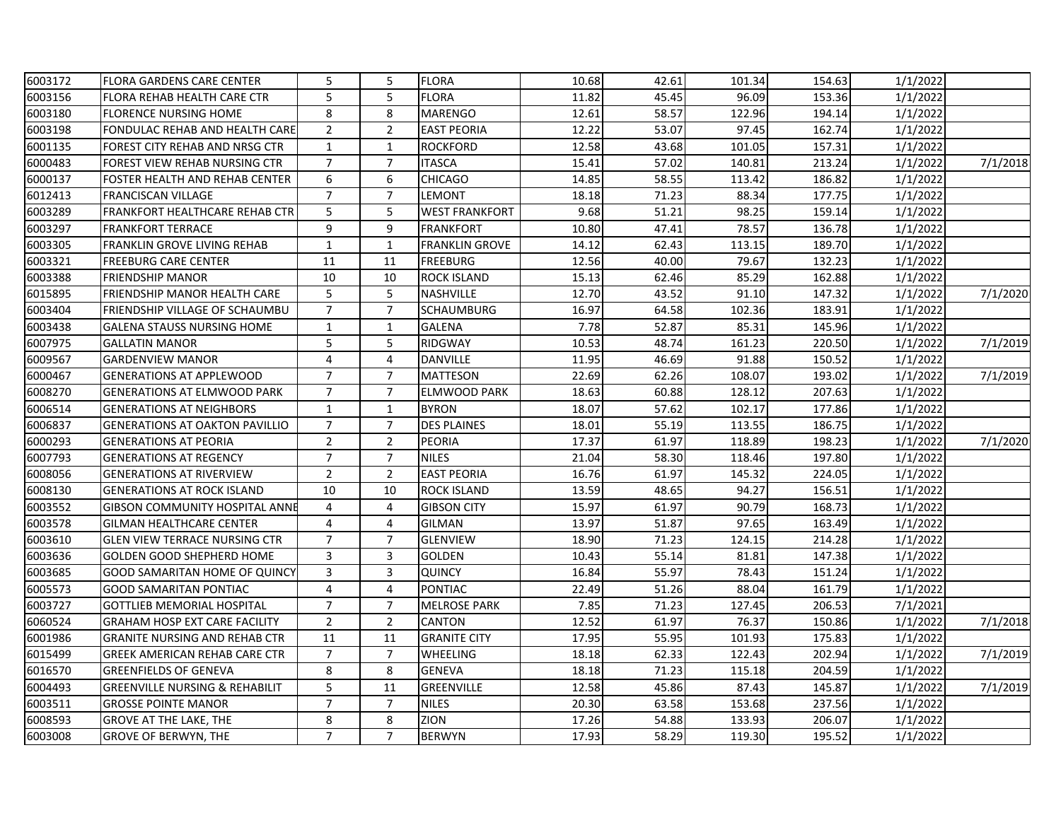| 6003172 | <b>FLORA GARDENS CARE CENTER</b>          | 5              | 5              | <b>FLORA</b>          | 10.68 | 42.61 | 101.34 | 154.63 | 1/1/2022 |          |
|---------|-------------------------------------------|----------------|----------------|-----------------------|-------|-------|--------|--------|----------|----------|
| 6003156 | FLORA REHAB HEALTH CARE CTR               | 5              | 5              | <b>FLORA</b>          | 11.82 | 45.45 | 96.09  | 153.36 | 1/1/2022 |          |
| 6003180 | <b>FLORENCE NURSING HOME</b>              | 8              | 8              | <b>MARENGO</b>        | 12.61 | 58.57 | 122.96 | 194.14 | 1/1/2022 |          |
| 6003198 | FONDULAC REHAB AND HEALTH CARE            | $\overline{2}$ | $\overline{2}$ | <b>EAST PEORIA</b>    | 12.22 | 53.07 | 97.45  | 162.74 | 1/1/2022 |          |
| 6001135 | FOREST CITY REHAB AND NRSG CTR            | 1              | $\mathbf{1}$   | <b>ROCKFORD</b>       | 12.58 | 43.68 | 101.05 | 157.31 | 1/1/2022 |          |
| 6000483 | FOREST VIEW REHAB NURSING CTR             | $\overline{7}$ | $\overline{7}$ | <b>ITASCA</b>         | 15.41 | 57.02 | 140.81 | 213.24 | 1/1/2022 | 7/1/2018 |
| 6000137 | FOSTER HEALTH AND REHAB CENTER            | 6              | 6              | <b>CHICAGO</b>        | 14.85 | 58.55 | 113.42 | 186.82 | 1/1/2022 |          |
| 6012413 | FRANCISCAN VILLAGE                        | $\overline{7}$ | $\overline{7}$ | <b>LEMONT</b>         | 18.18 | 71.23 | 88.34  | 177.75 | 1/1/2022 |          |
| 6003289 | <b>FRANKFORT HEALTHCARE REHAB CTR</b>     | 5              | 5              | <b>WEST FRANKFORT</b> | 9.68  | 51.21 | 98.25  | 159.14 | 1/1/2022 |          |
| 6003297 | <b>FRANKFORT TERRACE</b>                  | 9              | 9              | <b>FRANKFORT</b>      | 10.80 | 47.41 | 78.57  | 136.78 | 1/1/2022 |          |
| 6003305 | FRANKLIN GROVE LIVING REHAB               | $\mathbf{1}$   | $\mathbf{1}$   | <b>FRANKLIN GROVE</b> | 14.12 | 62.43 | 113.15 | 189.70 | 1/1/2022 |          |
| 6003321 | <b>FREEBURG CARE CENTER</b>               | 11             | 11             | <b>FREEBURG</b>       | 12.56 | 40.00 | 79.67  | 132.23 | 1/1/2022 |          |
| 6003388 | <b>FRIENDSHIP MANOR</b>                   | 10             | 10             | <b>ROCK ISLAND</b>    | 15.13 | 62.46 | 85.29  | 162.88 | 1/1/2022 |          |
| 6015895 | FRIENDSHIP MANOR HEALTH CARE              | 5              | 5              | NASHVILLE             | 12.70 | 43.52 | 91.10  | 147.32 | 1/1/2022 | 7/1/2020 |
| 6003404 | FRIENDSHIP VILLAGE OF SCHAUMBU            | $\overline{7}$ | $\overline{7}$ | <b>SCHAUMBURG</b>     | 16.97 | 64.58 | 102.36 | 183.91 | 1/1/2022 |          |
| 6003438 | <b>GALENA STAUSS NURSING HOME</b>         | 1              | $\mathbf{1}$   | GALENA                | 7.78  | 52.87 | 85.31  | 145.96 | 1/1/2022 |          |
| 6007975 | <b>GALLATIN MANOR</b>                     | 5              | 5              | RIDGWAY               | 10.53 | 48.74 | 161.23 | 220.50 | 1/1/2022 | 7/1/2019 |
| 6009567 | <b>GARDENVIEW MANOR</b>                   | $\overline{4}$ | 4              | <b>DANVILLE</b>       | 11.95 | 46.69 | 91.88  | 150.52 | 1/1/2022 |          |
| 6000467 | <b>GENERATIONS AT APPLEWOOD</b>           | $\overline{7}$ | $\overline{7}$ | <b>MATTESON</b>       | 22.69 | 62.26 | 108.07 | 193.02 | 1/1/2022 | 7/1/2019 |
| 6008270 | <b>GENERATIONS AT ELMWOOD PARK</b>        | $\overline{7}$ | $\overline{7}$ | <b>ELMWOOD PARK</b>   | 18.63 | 60.88 | 128.12 | 207.63 | 1/1/2022 |          |
| 6006514 | <b>GENERATIONS AT NEIGHBORS</b>           | $\mathbf{1}$   | $\mathbf{1}$   | <b>BYRON</b>          | 18.07 | 57.62 | 102.17 | 177.86 | 1/1/2022 |          |
| 6006837 | <b>GENERATIONS AT OAKTON PAVILLIO</b>     | $\overline{7}$ | $\overline{7}$ | <b>DES PLAINES</b>    | 18.01 | 55.19 | 113.55 | 186.75 | 1/1/2022 |          |
| 6000293 | <b>GENERATIONS AT PEORIA</b>              | $\overline{2}$ | $\overline{2}$ | PEORIA                | 17.37 | 61.97 | 118.89 | 198.23 | 1/1/2022 | 7/1/2020 |
| 6007793 | <b>GENERATIONS AT REGENCY</b>             | $\overline{7}$ | $\overline{7}$ | <b>NILES</b>          | 21.04 | 58.30 | 118.46 | 197.80 | 1/1/2022 |          |
| 6008056 | <b>GENERATIONS AT RIVERVIEW</b>           | $\overline{2}$ | $\overline{2}$ | <b>EAST PEORIA</b>    | 16.76 | 61.97 | 145.32 | 224.05 | 1/1/2022 |          |
| 6008130 | <b>GENERATIONS AT ROCK ISLAND</b>         | 10             | 10             | <b>ROCK ISLAND</b>    | 13.59 | 48.65 | 94.27  | 156.51 | 1/1/2022 |          |
| 6003552 | <b>GIBSON COMMUNITY HOSPITAL ANNE</b>     | 4              | 4              | GIBSON CITY           | 15.97 | 61.97 | 90.79  | 168.73 | 1/1/2022 |          |
| 6003578 | <b>GILMAN HEALTHCARE CENTER</b>           | $\overline{4}$ | 4              | <b>GILMAN</b>         | 13.97 | 51.87 | 97.65  | 163.49 | 1/1/2022 |          |
| 6003610 | <b>GLEN VIEW TERRACE NURSING CTR</b>      | $\overline{7}$ | $\overline{7}$ | <b>GLENVIEW</b>       | 18.90 | 71.23 | 124.15 | 214.28 | 1/1/2022 |          |
| 6003636 | <b>GOLDEN GOOD SHEPHERD HOME</b>          | $\mathbf{3}$   | 3              | <b>GOLDEN</b>         | 10.43 | 55.14 | 81.81  | 147.38 | 1/1/2022 |          |
| 6003685 | GOOD SAMARITAN HOME OF QUINCY             | 3              | 3              | <b>QUINCY</b>         | 16.84 | 55.97 | 78.43  | 151.24 | 1/1/2022 |          |
| 6005573 | <b>GOOD SAMARITAN PONTIAC</b>             | 4              | 4              | <b>PONTIAC</b>        | 22.49 | 51.26 | 88.04  | 161.79 | 1/1/2022 |          |
| 6003727 | GOTTLIEB MEMORIAL HOSPITAL                | $\overline{7}$ | $\overline{7}$ | <b>MELROSE PARK</b>   | 7.85  | 71.23 | 127.45 | 206.53 | 7/1/2021 |          |
| 6060524 | <b>GRAHAM HOSP EXT CARE FACILITY</b>      | $\overline{2}$ | $\overline{2}$ | CANTON                | 12.52 | 61.97 | 76.37  | 150.86 | 1/1/2022 | 7/1/2018 |
| 6001986 | <b>GRANITE NURSING AND REHAB CTR</b>      | 11             | 11             | <b>GRANITE CITY</b>   | 17.95 | 55.95 | 101.93 | 175.83 | 1/1/2022 |          |
| 6015499 | GREEK AMERICAN REHAB CARE CTR             | $\overline{7}$ | $\overline{7}$ | <b>WHEELING</b>       | 18.18 | 62.33 | 122.43 | 202.94 | 1/1/2022 | 7/1/2019 |
| 6016570 | <b>GREENFIELDS OF GENEVA</b>              | 8              | 8              | <b>GENEVA</b>         | 18.18 | 71.23 | 115.18 | 204.59 | 1/1/2022 |          |
| 6004493 | <b>GREENVILLE NURSING &amp; REHABILIT</b> | 5              | 11             | GREENVILLE            | 12.58 | 45.86 | 87.43  | 145.87 | 1/1/2022 | 7/1/2019 |
| 6003511 | <b>GROSSE POINTE MANOR</b>                | $\overline{7}$ | $\overline{7}$ | <b>NILES</b>          | 20.30 | 63.58 | 153.68 | 237.56 | 1/1/2022 |          |
| 6008593 | <b>GROVE AT THE LAKE, THE</b>             | 8              | 8              | ZION                  | 17.26 | 54.88 | 133.93 | 206.07 | 1/1/2022 |          |
| 6003008 | <b>GROVE OF BERWYN, THE</b>               | $\overline{7}$ | $\overline{7}$ | <b>BERWYN</b>         | 17.93 | 58.29 | 119.30 | 195.52 | 1/1/2022 |          |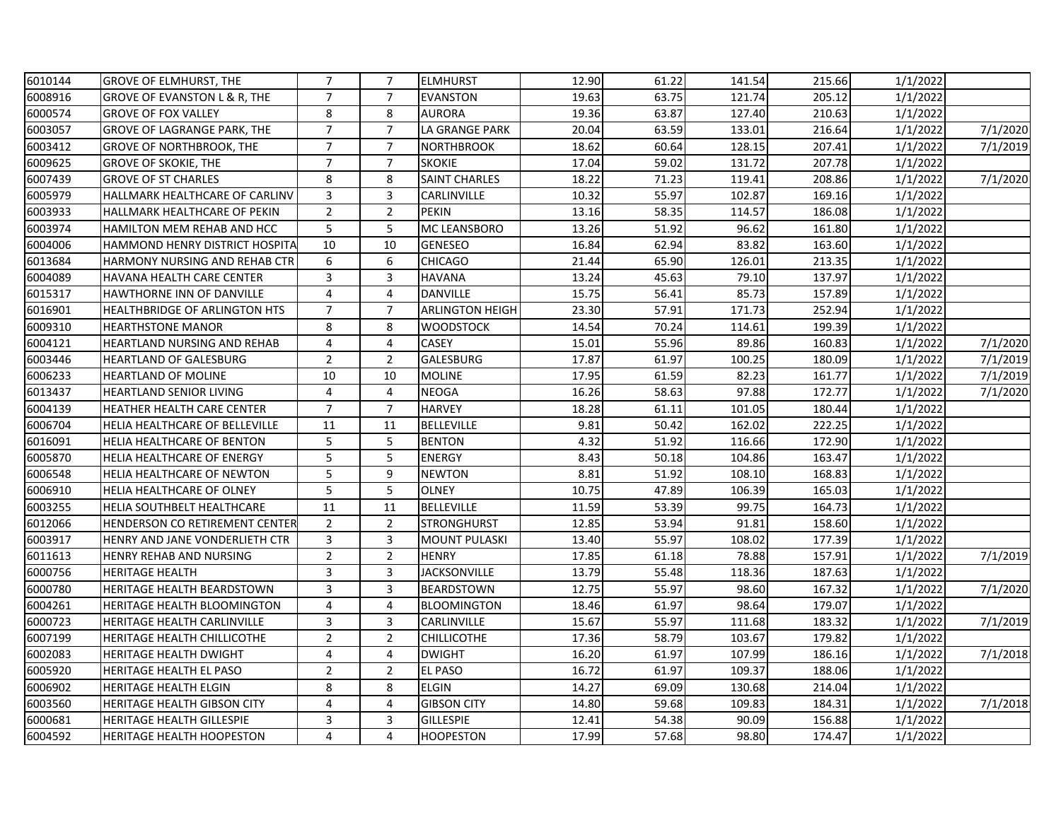| 6010144 | <b>GROVE OF ELMHURST, THE</b>           | $\overline{7}$          | $\overline{7}$ | <b>ELMHURST</b>        | 12.90 | 61.22 | 141.54 | 215.66 | 1/1/2022 |          |
|---------|-----------------------------------------|-------------------------|----------------|------------------------|-------|-------|--------|--------|----------|----------|
| 6008916 | <b>GROVE OF EVANSTON L &amp; R, THE</b> | $\overline{7}$          | $\overline{7}$ | <b>EVANSTON</b>        | 19.63 | 63.75 | 121.74 | 205.12 | 1/1/2022 |          |
| 6000574 | <b>GROVE OF FOX VALLEY</b>              | 8                       | 8              | <b>AURORA</b>          | 19.36 | 63.87 | 127.40 | 210.63 | 1/1/2022 |          |
| 6003057 | GROVE OF LAGRANGE PARK, THE             | $\overline{7}$          | $\overline{7}$ | LA GRANGE PARK         | 20.04 | 63.59 | 133.01 | 216.64 | 1/1/2022 | 7/1/2020 |
| 6003412 | <b>GROVE OF NORTHBROOK, THE</b>         | $\overline{7}$          | $\overline{7}$ | <b>NORTHBROOK</b>      | 18.62 | 60.64 | 128.15 | 207.41 | 1/1/2022 | 7/1/2019 |
| 6009625 | <b>GROVE OF SKOKIE, THE</b>             | $\overline{7}$          | $\overline{7}$ | <b>SKOKIE</b>          | 17.04 | 59.02 | 131.72 | 207.78 | 1/1/2022 |          |
| 6007439 | <b>GROVE OF ST CHARLES</b>              | 8                       | 8              | <b>SAINT CHARLES</b>   | 18.22 | 71.23 | 119.41 | 208.86 | 1/1/2022 | 7/1/2020 |
| 6005979 | HALLMARK HEALTHCARE OF CARLINV          | 3                       | 3              | CARLINVILLE            | 10.32 | 55.97 | 102.87 | 169.16 | 1/1/2022 |          |
| 6003933 | HALLMARK HEALTHCARE OF PEKIN            | $\overline{2}$          | $\overline{2}$ | PEKIN                  | 13.16 | 58.35 | 114.57 | 186.08 | 1/1/2022 |          |
| 6003974 | HAMILTON MEM REHAB AND HCC              | 5                       | 5              | MC LEANSBORO           | 13.26 | 51.92 | 96.62  | 161.80 | 1/1/2022 |          |
| 6004006 | HAMMOND HENRY DISTRICT HOSPITA          | 10                      | 10             | <b>GENESEO</b>         | 16.84 | 62.94 | 83.82  | 163.60 | 1/1/2022 |          |
| 6013684 | HARMONY NURSING AND REHAB CTR           | 6                       | 6              | <b>CHICAGO</b>         | 21.44 | 65.90 | 126.01 | 213.35 | 1/1/2022 |          |
| 6004089 | HAVANA HEALTH CARE CENTER               | 3                       | 3              | <b>HAVANA</b>          | 13.24 | 45.63 | 79.10  | 137.97 | 1/1/2022 |          |
| 6015317 | HAWTHORNE INN OF DANVILLE               | $\overline{4}$          | $\overline{4}$ | <b>DANVILLE</b>        | 15.75 | 56.41 | 85.73  | 157.89 | 1/1/2022 |          |
| 6016901 | <b>HEALTHBRIDGE OF ARLINGTON HTS</b>    | $\overline{7}$          | $\overline{7}$ | <b>ARLINGTON HEIGH</b> | 23.30 | 57.91 | 171.73 | 252.94 | 1/1/2022 |          |
| 6009310 | <b>HEARTHSTONE MANOR</b>                | 8                       | 8              | <b>WOODSTOCK</b>       | 14.54 | 70.24 | 114.61 | 199.39 | 1/1/2022 |          |
| 6004121 | <b>HEARTLAND NURSING AND REHAB</b>      | $\overline{4}$          | 4              | CASEY                  | 15.01 | 55.96 | 89.86  | 160.83 | 1/1/2022 | 7/1/2020 |
| 6003446 | <b>HEARTLAND OF GALESBURG</b>           | $\overline{2}$          | $\overline{2}$ | <b>GALESBURG</b>       | 17.87 | 61.97 | 100.25 | 180.09 | 1/1/2022 | 7/1/2019 |
| 6006233 | <b>HEARTLAND OF MOLINE</b>              | 10                      | 10             | <b>MOLINE</b>          | 17.95 | 61.59 | 82.23  | 161.77 | 1/1/2022 | 7/1/2019 |
| 6013437 | <b>HEARTLAND SENIOR LIVING</b>          | $\overline{4}$          | $\overline{4}$ | <b>NEOGA</b>           | 16.26 | 58.63 | 97.88  | 172.77 | 1/1/2022 | 7/1/2020 |
| 6004139 | HEATHER HEALTH CARE CENTER              | $\overline{7}$          | $\overline{7}$ | <b>HARVEY</b>          | 18.28 | 61.11 | 101.05 | 180.44 | 1/1/2022 |          |
| 6006704 | HELIA HEALTHCARE OF BELLEVILLE          | 11                      | 11             | <b>BELLEVILLE</b>      | 9.81  | 50.42 | 162.02 | 222.25 | 1/1/2022 |          |
| 6016091 | HELIA HEALTHCARE OF BENTON              | 5                       | 5              | <b>BENTON</b>          | 4.32  | 51.92 | 116.66 | 172.90 | 1/1/2022 |          |
| 6005870 | HELIA HEALTHCARE OF ENERGY              | 5                       | 5              | <b>ENERGY</b>          | 8.43  | 50.18 | 104.86 | 163.47 | 1/1/2022 |          |
| 6006548 | HELIA HEALTHCARE OF NEWTON              | 5                       | 9              | <b>NEWTON</b>          | 8.81  | 51.92 | 108.10 | 168.83 | 1/1/2022 |          |
| 6006910 | HELIA HEALTHCARE OF OLNEY               | 5                       | 5              | <b>OLNEY</b>           | 10.75 | 47.89 | 106.39 | 165.03 | 1/1/2022 |          |
| 6003255 | HELIA SOUTHBELT HEALTHCARE              | 11                      | 11             | <b>BELLEVILLE</b>      | 11.59 | 53.39 | 99.75  | 164.73 | 1/1/2022 |          |
| 6012066 | HENDERSON CO RETIREMENT CENTER          | $\overline{2}$          | $\overline{2}$ | STRONGHURST            | 12.85 | 53.94 | 91.81  | 158.60 | 1/1/2022 |          |
| 6003917 | HENRY AND JANE VONDERLIETH CTR          | 3                       | 3              | <b>MOUNT PULASKI</b>   | 13.40 | 55.97 | 108.02 | 177.39 | 1/1/2022 |          |
| 6011613 | HENRY REHAB AND NURSING                 | $\overline{2}$          | $\overline{2}$ | <b>HENRY</b>           | 17.85 | 61.18 | 78.88  | 157.91 | 1/1/2022 | 7/1/2019 |
| 6000756 | <b>HERITAGE HEALTH</b>                  | 3                       | 3              | <b>JACKSONVILLE</b>    | 13.79 | 55.48 | 118.36 | 187.63 | 1/1/2022 |          |
| 6000780 | HERITAGE HEALTH BEARDSTOWN              | 3                       | 3              | <b>BEARDSTOWN</b>      | 12.75 | 55.97 | 98.60  | 167.32 | 1/1/2022 | 7/1/2020 |
| 6004261 | HERITAGE HEALTH BLOOMINGTON             | 4                       | 4              | <b>BLOOMINGTON</b>     | 18.46 | 61.97 | 98.64  | 179.07 | 1/1/2022 |          |
| 6000723 | HERITAGE HEALTH CARLINVILLE             | 3                       | 3              | CARLINVILLE            | 15.67 | 55.97 | 111.68 | 183.32 | 1/1/2022 | 7/1/2019 |
| 6007199 | HERITAGE HEALTH CHILLICOTHE             | $\overline{2}$          | $\overline{2}$ | <b>CHILLICOTHE</b>     | 17.36 | 58.79 | 103.67 | 179.82 | 1/1/2022 |          |
| 6002083 | <b>HERITAGE HEALTH DWIGHT</b>           | $\overline{\mathbf{4}}$ | 4              | <b>DWIGHT</b>          | 16.20 | 61.97 | 107.99 | 186.16 | 1/1/2022 | 7/1/2018 |
| 6005920 | HERITAGE HEALTH EL PASO                 | $\overline{2}$          | $\overline{2}$ | <b>EL PASO</b>         | 16.72 | 61.97 | 109.37 | 188.06 | 1/1/2022 |          |
| 6006902 | HERITAGE HEALTH ELGIN                   | 8                       | 8              | <b>ELGIN</b>           | 14.27 | 69.09 | 130.68 | 214.04 | 1/1/2022 |          |
| 6003560 | <b>HERITAGE HEALTH GIBSON CITY</b>      | 4                       | 4              | <b>GIBSON CITY</b>     | 14.80 | 59.68 | 109.83 | 184.31 | 1/1/2022 | 7/1/2018 |
| 6000681 | <b>HERITAGE HEALTH GILLESPIE</b>        | 3                       | 3              | <b>GILLESPIE</b>       | 12.41 | 54.38 | 90.09  | 156.88 | 1/1/2022 |          |
| 6004592 | <b>HERITAGE HEALTH HOOPESTON</b>        | 4                       | $\overline{4}$ | <b>HOOPESTON</b>       | 17.99 | 57.68 | 98.80  | 174.47 | 1/1/2022 |          |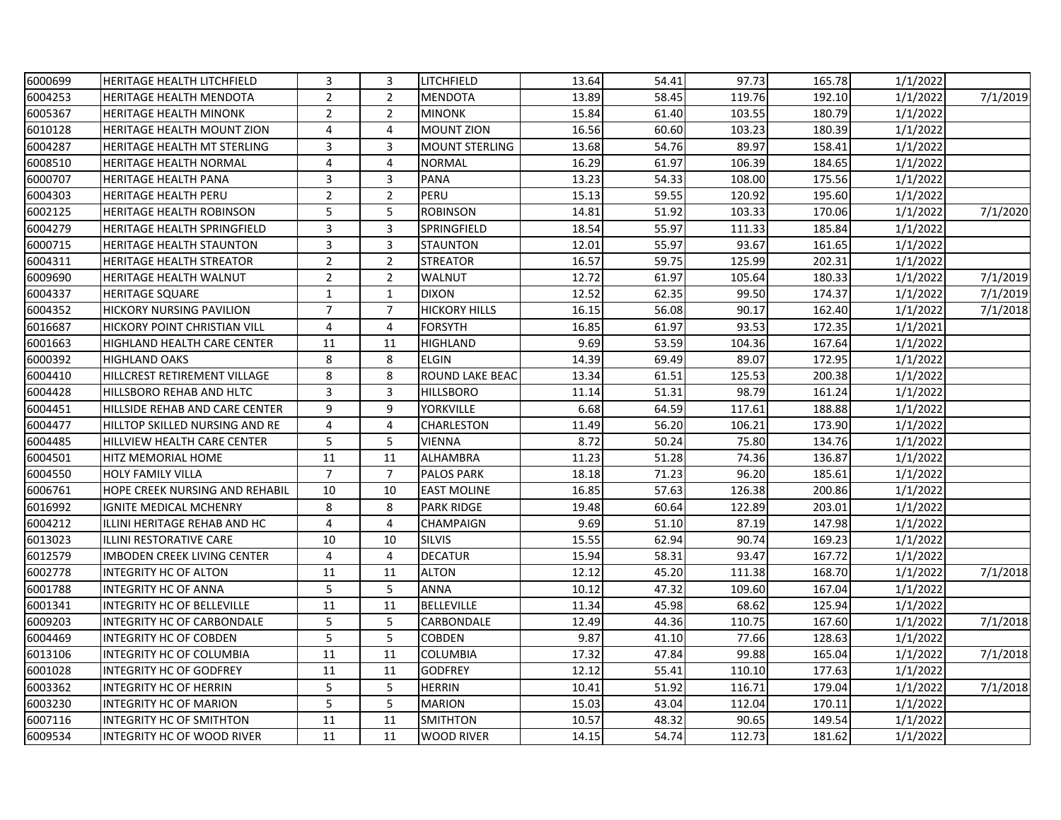| 6000699 | <b>HERITAGE HEALTH LITCHFIELD</b>   | 3              | 3              | LITCHFIELD             | 13.64 | 54.41 | 97.73  | 165.78 | 1/1/2022 |          |
|---------|-------------------------------------|----------------|----------------|------------------------|-------|-------|--------|--------|----------|----------|
| 6004253 | <b>HERITAGE HEALTH MENDOTA</b>      | $\overline{2}$ | $\overline{2}$ | <b>MENDOTA</b>         | 13.89 | 58.45 | 119.76 | 192.10 | 1/1/2022 | 7/1/2019 |
| 6005367 | <b>HERITAGE HEALTH MINONK</b>       | $\overline{2}$ | $\overline{2}$ | <b>MINONK</b>          | 15.84 | 61.40 | 103.55 | 180.79 | 1/1/2022 |          |
| 6010128 | <b>HERITAGE HEALTH MOUNT ZION</b>   | 4              | 4              | <b>MOUNT ZION</b>      | 16.56 | 60.60 | 103.23 | 180.39 | 1/1/2022 |          |
| 6004287 | HERITAGE HEALTH MT STERLING         | 3              | 3              | <b>MOUNT STERLING</b>  | 13.68 | 54.76 | 89.97  | 158.41 | 1/1/2022 |          |
| 6008510 | <b>HERITAGE HEALTH NORMAL</b>       | $\overline{4}$ | 4              | <b>NORMAL</b>          | 16.29 | 61.97 | 106.39 | 184.65 | 1/1/2022 |          |
| 6000707 | <b>HERITAGE HEALTH PANA</b>         | 3              | 3              | <b>PANA</b>            | 13.23 | 54.33 | 108.00 | 175.56 | 1/1/2022 |          |
| 6004303 | <b>HERITAGE HEALTH PERU</b>         | $\overline{2}$ | $\overline{2}$ | PERU                   | 15.13 | 59.55 | 120.92 | 195.60 | 1/1/2022 |          |
| 6002125 | <b>HERITAGE HEALTH ROBINSON</b>     | 5              | 5              | <b>ROBINSON</b>        | 14.81 | 51.92 | 103.33 | 170.06 | 1/1/2022 | 7/1/2020 |
| 6004279 | <b>HERITAGE HEALTH SPRINGFIELD</b>  | 3              | 3              | SPRINGFIELD            | 18.54 | 55.97 | 111.33 | 185.84 | 1/1/2022 |          |
| 6000715 | <b>HERITAGE HEALTH STAUNTON</b>     | 3              | 3              | <b>STAUNTON</b>        | 12.01 | 55.97 | 93.67  | 161.65 | 1/1/2022 |          |
| 6004311 | <b>HERITAGE HEALTH STREATOR</b>     | $\overline{2}$ | $\overline{2}$ | <b>STREATOR</b>        | 16.57 | 59.75 | 125.99 | 202.31 | 1/1/2022 |          |
| 6009690 | <b>HERITAGE HEALTH WALNUT</b>       | $\overline{2}$ | $\overline{2}$ | WALNUT                 | 12.72 | 61.97 | 105.64 | 180.33 | 1/1/2022 | 7/1/2019 |
| 6004337 | <b>HERITAGE SQUARE</b>              | $\mathbf 1$    | $\mathbf{1}$   | <b>DIXON</b>           | 12.52 | 62.35 | 99.50  | 174.37 | 1/1/2022 | 7/1/2019 |
| 6004352 | <b>HICKORY NURSING PAVILION</b>     | $\overline{7}$ | $\overline{7}$ | <b>HICKORY HILLS</b>   | 16.15 | 56.08 | 90.17  | 162.40 | 1/1/2022 | 7/1/2018 |
| 6016687 | <b>HICKORY POINT CHRISTIAN VILL</b> | 4              | 4              | FORSYTH                | 16.85 | 61.97 | 93.53  | 172.35 | 1/1/2021 |          |
| 6001663 | <b>HIGHLAND HEALTH CARE CENTER</b>  | 11             | 11             | HIGHLAND               | 9.69  | 53.59 | 104.36 | 167.64 | 1/1/2022 |          |
| 6000392 | <b>HIGHLAND OAKS</b>                | 8              | 8              | <b>ELGIN</b>           | 14.39 | 69.49 | 89.07  | 172.95 | 1/1/2022 |          |
| 6004410 | HILLCREST RETIREMENT VILLAGE        | 8              | 8              | <b>ROUND LAKE BEAC</b> | 13.34 | 61.51 | 125.53 | 200.38 | 1/1/2022 |          |
| 6004428 | HILLSBORO REHAB AND HLTC            | 3              | 3              | <b>HILLSBORO</b>       | 11.14 | 51.31 | 98.79  | 161.24 | 1/1/2022 |          |
| 6004451 | HILLSIDE REHAB AND CARE CENTER      | 9              | 9              | <b>YORKVILLE</b>       | 6.68  | 64.59 | 117.61 | 188.88 | 1/1/2022 |          |
| 6004477 | HILLTOP SKILLED NURSING AND RE      | 4              | 4              | CHARLESTON             | 11.49 | 56.20 | 106.21 | 173.90 | 1/1/2022 |          |
| 6004485 | HILLVIEW HEALTH CARE CENTER         | 5              | 5              | VIENNA                 | 8.72  | 50.24 | 75.80  | 134.76 | 1/1/2022 |          |
| 6004501 | <b>HITZ MEMORIAL HOME</b>           | 11             | 11             | <b>ALHAMBRA</b>        | 11.23 | 51.28 | 74.36  | 136.87 | 1/1/2022 |          |
| 6004550 | <b>HOLY FAMILY VILLA</b>            | $\overline{7}$ | $\overline{7}$ | <b>PALOS PARK</b>      | 18.18 | 71.23 | 96.20  | 185.61 | 1/1/2022 |          |
| 6006761 | HOPE CREEK NURSING AND REHABIL      | 10             | 10             | <b>EAST MOLINE</b>     | 16.85 | 57.63 | 126.38 | 200.86 | 1/1/2022 |          |
| 6016992 | IGNITE MEDICAL MCHENRY              | 8              | 8              | <b>PARK RIDGE</b>      | 19.48 | 60.64 | 122.89 | 203.01 | 1/1/2022 |          |
| 6004212 | ILLINI HERITAGE REHAB AND HC        | $\overline{4}$ | $\overline{4}$ | CHAMPAIGN              | 9.69  | 51.10 | 87.19  | 147.98 | 1/1/2022 |          |
| 6013023 | ILLINI RESTORATIVE CARE             | 10             | 10             | <b>SILVIS</b>          | 15.55 | 62.94 | 90.74  | 169.23 | 1/1/2022 |          |
| 6012579 | <b>IMBODEN CREEK LIVING CENTER</b>  | $\overline{4}$ | 4              | <b>DECATUR</b>         | 15.94 | 58.31 | 93.47  | 167.72 | 1/1/2022 |          |
| 6002778 | <b>INTEGRITY HC OF ALTON</b>        | 11             | 11             | <b>ALTON</b>           | 12.12 | 45.20 | 111.38 | 168.70 | 1/1/2022 | 7/1/2018 |
| 6001788 | <b>INTEGRITY HC OF ANNA</b>         | 5              | 5              | <b>ANNA</b>            | 10.12 | 47.32 | 109.60 | 167.04 | 1/1/2022 |          |
| 6001341 | <b>INTEGRITY HC OF BELLEVILLE</b>   | 11             | 11             | <b>BELLEVILLE</b>      | 11.34 | 45.98 | 68.62  | 125.94 | 1/1/2022 |          |
| 6009203 | <b>INTEGRITY HC OF CARBONDALE</b>   | 5              | 5              | CARBONDALE             | 12.49 | 44.36 | 110.75 | 167.60 | 1/1/2022 | 7/1/2018 |
| 6004469 | <b>INTEGRITY HC OF COBDEN</b>       | 5              | 5              | <b>COBDEN</b>          | 9.87  | 41.10 | 77.66  | 128.63 | 1/1/2022 |          |
| 6013106 | INTEGRITY HC OF COLUMBIA            | 11             | 11             | <b>COLUMBIA</b>        | 17.32 | 47.84 | 99.88  | 165.04 | 1/1/2022 | 7/1/2018 |
| 6001028 | <b>INTEGRITY HC OF GODFREY</b>      | 11             | 11             | <b>GODFREY</b>         | 12.12 | 55.41 | 110.10 | 177.63 | 1/1/2022 |          |
| 6003362 | INTEGRITY HC OF HERRIN              | 5              | 5              | <b>HERRIN</b>          | 10.41 | 51.92 | 116.71 | 179.04 | 1/1/2022 | 7/1/2018 |
| 6003230 | <b>INTEGRITY HC OF MARION</b>       | 5              | 5              | <b>MARION</b>          | 15.03 | 43.04 | 112.04 | 170.11 | 1/1/2022 |          |
| 6007116 | <b>INTEGRITY HC OF SMITHTON</b>     | 11             | 11             | <b>SMITHTON</b>        | 10.57 | 48.32 | 90.65  | 149.54 | 1/1/2022 |          |
| 6009534 | <b>INTEGRITY HC OF WOOD RIVER</b>   | 11             | 11             | <b>WOOD RIVER</b>      | 14.15 | 54.74 | 112.73 | 181.62 | 1/1/2022 |          |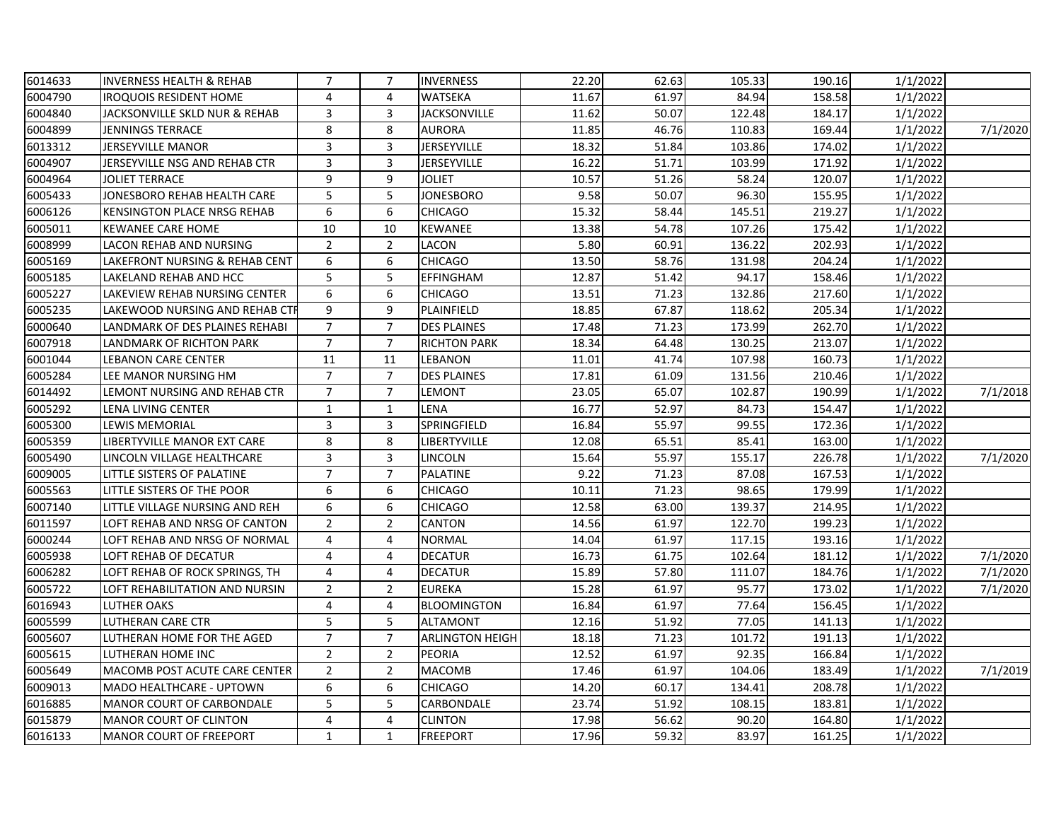| 6014633 | <b>INVERNESS HEALTH &amp; REHAB</b> | $\overline{7}$ | $\overline{7}$ | <b>INVERNESS</b>       | 22.20 | 62.63 | 105.33 | 190.16 | 1/1/2022 |          |
|---------|-------------------------------------|----------------|----------------|------------------------|-------|-------|--------|--------|----------|----------|
| 6004790 | <b>IROQUOIS RESIDENT HOME</b>       | 4              | 4              | <b>WATSEKA</b>         | 11.67 | 61.97 | 84.94  | 158.58 | 1/1/2022 |          |
| 6004840 | JACKSONVILLE SKLD NUR & REHAB       | 3              | 3              | <b>JACKSONVILLE</b>    | 11.62 | 50.07 | 122.48 | 184.17 | 1/1/2022 |          |
| 6004899 | <b>JENNINGS TERRACE</b>             | 8              | 8              | <b>AURORA</b>          | 11.85 | 46.76 | 110.83 | 169.44 | 1/1/2022 | 7/1/2020 |
| 6013312 | JERSEYVILLE MANOR                   | $\mathsf{3}$   | 3              | <b>JERSEYVILLE</b>     | 18.32 | 51.84 | 103.86 | 174.02 | 1/1/2022 |          |
| 6004907 | JERSEYVILLE NSG AND REHAB CTR       | 3              | 3              | <b>JERSEYVILLE</b>     | 16.22 | 51.71 | 103.99 | 171.92 | 1/1/2022 |          |
| 6004964 | <b>JOLIET TERRACE</b>               | 9              | 9              | <b>JOLIET</b>          | 10.57 | 51.26 | 58.24  | 120.07 | 1/1/2022 |          |
| 6005433 | JONESBORO REHAB HEALTH CARE         | 5              | 5              | <b>JONESBORO</b>       | 9.58  | 50.07 | 96.30  | 155.95 | 1/1/2022 |          |
| 6006126 | <b>KENSINGTON PLACE NRSG REHAB</b>  | 6              | 6              | <b>CHICAGO</b>         | 15.32 | 58.44 | 145.51 | 219.27 | 1/1/2022 |          |
| 6005011 | <b>KEWANEE CARE HOME</b>            | 10             | 10             | KEWANEE                | 13.38 | 54.78 | 107.26 | 175.42 | 1/1/2022 |          |
| 6008999 | <b>LACON REHAB AND NURSING</b>      | $\overline{2}$ | $\overline{2}$ | LACON                  | 5.80  | 60.91 | 136.22 | 202.93 | 1/1/2022 |          |
| 6005169 | LAKEFRONT NURSING & REHAB CENT      | 6              | 6              | <b>CHICAGO</b>         | 13.50 | 58.76 | 131.98 | 204.24 | 1/1/2022 |          |
| 6005185 | LAKELAND REHAB AND HCC              | 5              | 5              | EFFINGHAM              | 12.87 | 51.42 | 94.17  | 158.46 | 1/1/2022 |          |
| 6005227 | LAKEVIEW REHAB NURSING CENTER       | 6              | 6              | <b>CHICAGO</b>         | 13.51 | 71.23 | 132.86 | 217.60 | 1/1/2022 |          |
| 6005235 | LAKEWOOD NURSING AND REHAB CTI      | 9              | 9              | PLAINFIELD             | 18.85 | 67.87 | 118.62 | 205.34 | 1/1/2022 |          |
| 6000640 | LANDMARK OF DES PLAINES REHABI      | $\overline{7}$ | $\overline{7}$ | <b>DES PLAINES</b>     | 17.48 | 71.23 | 173.99 | 262.70 | 1/1/2022 |          |
| 6007918 | LANDMARK OF RICHTON PARK            | $\overline{7}$ | $\overline{7}$ | <b>RICHTON PARK</b>    | 18.34 | 64.48 | 130.25 | 213.07 | 1/1/2022 |          |
| 6001044 | <b>LEBANON CARE CENTER</b>          | 11             | 11             | LEBANON                | 11.01 | 41.74 | 107.98 | 160.73 | 1/1/2022 |          |
| 6005284 | LEE MANOR NURSING HM                | $\overline{7}$ | $\overline{7}$ | <b>DES PLAINES</b>     | 17.81 | 61.09 | 131.56 | 210.46 | 1/1/2022 |          |
| 6014492 | LEMONT NURSING AND REHAB CTR        | $\overline{7}$ | $\overline{7}$ | LEMONT                 | 23.05 | 65.07 | 102.87 | 190.99 | 1/1/2022 | 7/1/2018 |
| 6005292 | LENA LIVING CENTER                  | $\mathbf{1}$   | $\mathbf{1}$   | LENA                   | 16.77 | 52.97 | 84.73  | 154.47 | 1/1/2022 |          |
| 6005300 | <b>LEWIS MEMORIAL</b>               | 3              | 3              | SPRINGFIELD            | 16.84 | 55.97 | 99.55  | 172.36 | 1/1/2022 |          |
| 6005359 | LIBERTYVILLE MANOR EXT CARE         | 8              | 8              | LIBERTYVILLE           | 12.08 | 65.51 | 85.41  | 163.00 | 1/1/2022 |          |
| 6005490 | LINCOLN VILLAGE HEALTHCARE          | 3              | 3              | LINCOLN                | 15.64 | 55.97 | 155.17 | 226.78 | 1/1/2022 | 7/1/2020 |
| 6009005 | LITTLE SISTERS OF PALATINE          | $\overline{7}$ | $\overline{7}$ | <b>PALATINE</b>        | 9.22  | 71.23 | 87.08  | 167.53 | 1/1/2022 |          |
| 6005563 | LITTLE SISTERS OF THE POOR          | 6              | 6              | <b>CHICAGO</b>         | 10.11 | 71.23 | 98.65  | 179.99 | 1/1/2022 |          |
| 6007140 | LITTLE VILLAGE NURSING AND REH      | 6              | 6              | <b>CHICAGO</b>         | 12.58 | 63.00 | 139.37 | 214.95 | 1/1/2022 |          |
| 6011597 | LOFT REHAB AND NRSG OF CANTON       | $\overline{2}$ | $\overline{2}$ | CANTON                 | 14.56 | 61.97 | 122.70 | 199.23 | 1/1/2022 |          |
| 6000244 | LOFT REHAB AND NRSG OF NORMAL       | 4              | 4              | <b>NORMAL</b>          | 14.04 | 61.97 | 117.15 | 193.16 | 1/1/2022 |          |
| 6005938 | LOFT REHAB OF DECATUR               | $\overline{4}$ | 4              | <b>DECATUR</b>         | 16.73 | 61.75 | 102.64 | 181.12 | 1/1/2022 | 7/1/2020 |
| 6006282 | LOFT REHAB OF ROCK SPRINGS, TH      | 4              | 4              | <b>DECATUR</b>         | 15.89 | 57.80 | 111.07 | 184.76 | 1/1/2022 | 7/1/2020 |
| 6005722 | LOFT REHABILITATION AND NURSIN      | $\overline{2}$ | $\overline{2}$ | <b>EUREKA</b>          | 15.28 | 61.97 | 95.77  | 173.02 | 1/1/2022 | 7/1/2020 |
| 6016943 | <b>LUTHER OAKS</b>                  | 4              | 4              | <b>BLOOMINGTON</b>     | 16.84 | 61.97 | 77.64  | 156.45 | 1/1/2022 |          |
| 6005599 | <b>LUTHERAN CARE CTR</b>            | 5              | 5              | <b>ALTAMONT</b>        | 12.16 | 51.92 | 77.05  | 141.13 | 1/1/2022 |          |
| 6005607 | LUTHERAN HOME FOR THE AGED          | $\overline{7}$ | $\overline{7}$ | <b>ARLINGTON HEIGH</b> | 18.18 | 71.23 | 101.72 | 191.13 | 1/1/2022 |          |
| 6005615 | LUTHERAN HOME INC                   | $\overline{2}$ | $\overline{2}$ | <b>PEORIA</b>          | 12.52 | 61.97 | 92.35  | 166.84 | 1/1/2022 |          |
| 6005649 | MACOMB POST ACUTE CARE CENTER       | $\overline{2}$ | $\overline{2}$ | <b>MACOMB</b>          | 17.46 | 61.97 | 104.06 | 183.49 | 1/1/2022 | 7/1/2019 |
| 6009013 | MADO HEALTHCARE - UPTOWN            | 6              | 6              | <b>CHICAGO</b>         | 14.20 | 60.17 | 134.41 | 208.78 | 1/1/2022 |          |
| 6016885 | <b>MANOR COURT OF CARBONDALE</b>    | 5              | 5              | CARBONDALE             | 23.74 | 51.92 | 108.15 | 183.81 | 1/1/2022 |          |
| 6015879 | <b>MANOR COURT OF CLINTON</b>       | 4              | 4              | <b>CLINTON</b>         | 17.98 | 56.62 | 90.20  | 164.80 | 1/1/2022 |          |
| 6016133 | <b>MANOR COURT OF FREEPORT</b>      | $\mathbf{1}$   | $\mathbf{1}$   | <b>FREEPORT</b>        | 17.96 | 59.32 | 83.97  | 161.25 | 1/1/2022 |          |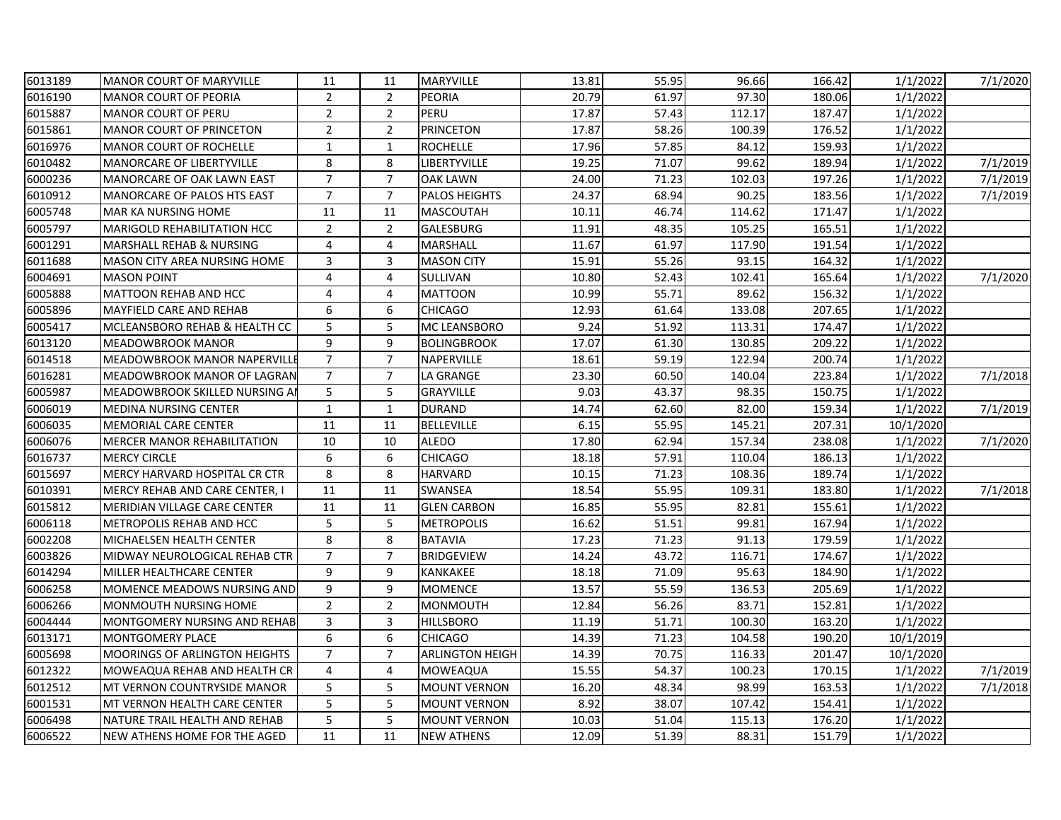| 6013189 | <b>MANOR COURT OF MARYVILLE</b>     | 11             | 11             | MARYVILLE              | 13.81 | 55.95 | 96.66  | 166.42 | 1/1/2022  | 7/1/2020 |
|---------|-------------------------------------|----------------|----------------|------------------------|-------|-------|--------|--------|-----------|----------|
| 6016190 | <b>MANOR COURT OF PEORIA</b>        | $\overline{2}$ | $\overline{2}$ | <b>PEORIA</b>          | 20.79 | 61.97 | 97.30  | 180.06 | 1/1/2022  |          |
| 6015887 | <b>MANOR COURT OF PERU</b>          | $\overline{2}$ | $\overline{2}$ | PERU                   | 17.87 | 57.43 | 112.17 | 187.47 | 1/1/2022  |          |
| 6015861 | <b>MANOR COURT OF PRINCETON</b>     | $\overline{2}$ | $\overline{2}$ | <b>PRINCETON</b>       | 17.87 | 58.26 | 100.39 | 176.52 | 1/1/2022  |          |
| 6016976 | <b>MANOR COURT OF ROCHELLE</b>      | 1              | $\mathbf{1}$   | <b>ROCHELLE</b>        | 17.96 | 57.85 | 84.12  | 159.93 | 1/1/2022  |          |
| 6010482 | <b>MANORCARE OF LIBERTYVILLE</b>    | 8              | 8              | LIBERTYVILLE           | 19.25 | 71.07 | 99.62  | 189.94 | 1/1/2022  | 7/1/2019 |
| 6000236 | MANORCARE OF OAK LAWN EAST          | $\overline{7}$ | $\overline{7}$ | <b>OAK LAWN</b>        | 24.00 | 71.23 | 102.03 | 197.26 | 1/1/2022  | 7/1/2019 |
| 6010912 | MANORCARE OF PALOS HTS EAST         | $\overline{7}$ | $\overline{7}$ | <b>PALOS HEIGHTS</b>   | 24.37 | 68.94 | 90.25  | 183.56 | 1/1/2022  | 7/1/2019 |
| 6005748 | MAR KA NURSING HOME                 | 11             | 11             | <b>MASCOUTAH</b>       | 10.11 | 46.74 | 114.62 | 171.47 | 1/1/2022  |          |
| 6005797 | <b>MARIGOLD REHABILITATION HCC</b>  | 2              | $\overline{2}$ | GALESBURG              | 11.91 | 48.35 | 105.25 | 165.51 | 1/1/2022  |          |
| 6001291 | MARSHALL REHAB & NURSING            | 4              | 4              | MARSHALL               | 11.67 | 61.97 | 117.90 | 191.54 | 1/1/2022  |          |
| 6011688 | MASON CITY AREA NURSING HOME        | 3              | 3              | <b>MASON CITY</b>      | 15.91 | 55.26 | 93.15  | 164.32 | 1/1/2022  |          |
| 6004691 | <b>MASON POINT</b>                  | 4              | 4              | SULLIVAN               | 10.80 | 52.43 | 102.41 | 165.64 | 1/1/2022  | 7/1/2020 |
| 6005888 | MATTOON REHAB AND HCC               | $\overline{4}$ | 4              | <b>MATTOON</b>         | 10.99 | 55.71 | 89.62  | 156.32 | 1/1/2022  |          |
| 6005896 | MAYFIELD CARE AND REHAB             | 6              | 6              | <b>CHICAGO</b>         | 12.93 | 61.64 | 133.08 | 207.65 | 1/1/2022  |          |
| 6005417 | MCLEANSBORO REHAB & HEALTH CC       | 5              | 5              | MC LEANSBORO           | 9.24  | 51.92 | 113.31 | 174.47 | 1/1/2022  |          |
| 6013120 | MEADOWBROOK MANOR                   | 9              | 9              | <b>BOLINGBROOK</b>     | 17.07 | 61.30 | 130.85 | 209.22 | 1/1/2022  |          |
| 6014518 | MEADOWBROOK MANOR NAPERVILL         | $\overline{7}$ | $\overline{7}$ | NAPERVILLE             | 18.61 | 59.19 | 122.94 | 200.74 | 1/1/2022  |          |
| 6016281 | MEADOWBROOK MANOR OF LAGRAN         | $\overline{7}$ | $\overline{7}$ | LA GRANGE              | 23.30 | 60.50 | 140.04 | 223.84 | 1/1/2022  | 7/1/2018 |
| 6005987 | MEADOWBROOK SKILLED NURSING A       | 5              | 5              | <b>GRAYVILLE</b>       | 9.03  | 43.37 | 98.35  | 150.75 | 1/1/2022  |          |
| 6006019 | <b>MEDINA NURSING CENTER</b>        | 1              | $\mathbf{1}$   | <b>DURAND</b>          | 14.74 | 62.60 | 82.00  | 159.34 | 1/1/2022  | 7/1/2019 |
| 6006035 | MEMORIAL CARE CENTER                | 11             | 11             | <b>BELLEVILLE</b>      | 6.15  | 55.95 | 145.21 | 207.31 | 10/1/2020 |          |
| 6006076 | MERCER MANOR REHABILITATION         | 10             | 10             | <b>ALEDO</b>           | 17.80 | 62.94 | 157.34 | 238.08 | 1/1/2022  | 7/1/2020 |
| 6016737 | <b>MERCY CIRCLE</b>                 | 6              | 6              | <b>CHICAGO</b>         | 18.18 | 57.91 | 110.04 | 186.13 | 1/1/2022  |          |
| 6015697 | MERCY HARVARD HOSPITAL CR CTR       | 8              | 8              | <b>HARVARD</b>         | 10.15 | 71.23 | 108.36 | 189.74 | 1/1/2022  |          |
| 6010391 | MERCY REHAB AND CARE CENTER, I      | 11             | 11             | <b>SWANSEA</b>         | 18.54 | 55.95 | 109.31 | 183.80 | 1/1/2022  | 7/1/2018 |
| 6015812 | <b>MERIDIAN VILLAGE CARE CENTER</b> | 11             | 11             | <b>GLEN CARBON</b>     | 16.85 | 55.95 | 82.81  | 155.61 | 1/1/2022  |          |
| 6006118 | METROPOLIS REHAB AND HCC            | 5              | 5              | <b>METROPOLIS</b>      | 16.62 | 51.51 | 99.81  | 167.94 | 1/1/2022  |          |
| 6002208 | MICHAELSEN HEALTH CENTER            | 8              | 8              | <b>BATAVIA</b>         | 17.23 | 71.23 | 91.13  | 179.59 | 1/1/2022  |          |
| 6003826 | MIDWAY NEUROLOGICAL REHAB CTR       | $\overline{7}$ | $\overline{7}$ | <b>BRIDGEVIEW</b>      | 14.24 | 43.72 | 116.71 | 174.67 | 1/1/2022  |          |
| 6014294 | MILLER HEALTHCARE CENTER            | 9              | 9              | KANKAKEE               | 18.18 | 71.09 | 95.63  | 184.90 | 1/1/2022  |          |
| 6006258 | MOMENCE MEADOWS NURSING AND         | 9              | 9              | <b>MOMENCE</b>         | 13.57 | 55.59 | 136.53 | 205.69 | 1/1/2022  |          |
| 6006266 | MONMOUTH NURSING HOME               | $\overline{2}$ | $\overline{2}$ | <b>MONMOUTH</b>        | 12.84 | 56.26 | 83.71  | 152.81 | 1/1/2022  |          |
| 6004444 | MONTGOMERY NURSING AND REHAB        | 3              | 3              | <b>HILLSBORO</b>       | 11.19 | 51.71 | 100.30 | 163.20 | 1/1/2022  |          |
| 6013171 | MONTGOMERY PLACE                    | 6              | 6              | <b>CHICAGO</b>         | 14.39 | 71.23 | 104.58 | 190.20 | 10/1/2019 |          |
| 6005698 | MOORINGS OF ARLINGTON HEIGHTS       | $\overline{7}$ | $\overline{7}$ | <b>ARLINGTON HEIGH</b> | 14.39 | 70.75 | 116.33 | 201.47 | 10/1/2020 |          |
| 6012322 | MOWEAQUA REHAB AND HEALTH CR        | 4              | 4              | MOWEAQUA               | 15.55 | 54.37 | 100.23 | 170.15 | 1/1/2022  | 7/1/2019 |
| 6012512 | MT VERNON COUNTRYSIDE MANOR         | 5              | 5              | <b>MOUNT VERNON</b>    | 16.20 | 48.34 | 98.99  | 163.53 | 1/1/2022  | 7/1/2018 |
| 6001531 | MT VERNON HEALTH CARE CENTER        | 5              | 5              | <b>MOUNT VERNON</b>    | 8.92  | 38.07 | 107.42 | 154.41 | 1/1/2022  |          |
| 6006498 | NATURE TRAIL HEALTH AND REHAB       | 5              | 5              | <b>MOUNT VERNON</b>    | 10.03 | 51.04 | 115.13 | 176.20 | 1/1/2022  |          |
| 6006522 | <b>NEW ATHENS HOME FOR THE AGED</b> | 11             | 11             | <b>NEW ATHENS</b>      | 12.09 | 51.39 | 88.31  | 151.79 | 1/1/2022  |          |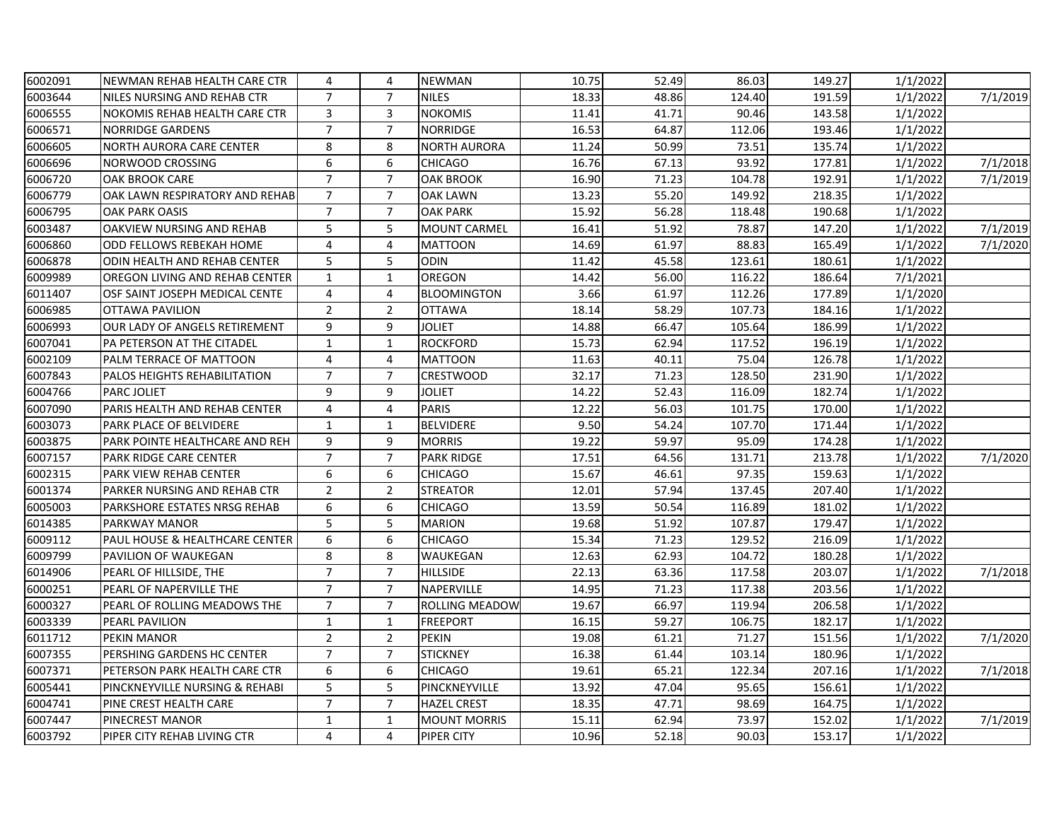| 6002091 | NEWMAN REHAB HEALTH CARE CTR         | 4              | 4              | <b>NEWMAN</b>       | 10.75 | 52.49 | 86.03  | 149.27 | 1/1/2022 |          |
|---------|--------------------------------------|----------------|----------------|---------------------|-------|-------|--------|--------|----------|----------|
| 6003644 | NILES NURSING AND REHAB CTR          | $\overline{7}$ | $\overline{7}$ | <b>NILES</b>        | 18.33 | 48.86 | 124.40 | 191.59 | 1/1/2022 | 7/1/2019 |
| 6006555 | <b>NOKOMIS REHAB HEALTH CARE CTR</b> | 3              | 3              | <b>NOKOMIS</b>      | 11.41 | 41.71 | 90.46  | 143.58 | 1/1/2022 |          |
| 6006571 | <b>NORRIDGE GARDENS</b>              | $\overline{7}$ | $\overline{7}$ | <b>NORRIDGE</b>     | 16.53 | 64.87 | 112.06 | 193.46 | 1/1/2022 |          |
| 6006605 | NORTH AURORA CARE CENTER             | 8              | 8              | NORTH AURORA        | 11.24 | 50.99 | 73.51  | 135.74 | 1/1/2022 |          |
| 6006696 | NORWOOD CROSSING                     | 6              | 6              | <b>CHICAGO</b>      | 16.76 | 67.13 | 93.92  | 177.81 | 1/1/2022 | 7/1/2018 |
| 6006720 | <b>OAK BROOK CARE</b>                | $\overline{7}$ | $\overline{7}$ | <b>OAK BROOK</b>    | 16.90 | 71.23 | 104.78 | 192.91 | 1/1/2022 | 7/1/2019 |
| 6006779 | OAK LAWN RESPIRATORY AND REHAB       | $\overline{7}$ | $\overline{7}$ | <b>OAK LAWN</b>     | 13.23 | 55.20 | 149.92 | 218.35 | 1/1/2022 |          |
| 6006795 | <b>OAK PARK OASIS</b>                | $\overline{7}$ | $\overline{7}$ | <b>OAK PARK</b>     | 15.92 | 56.28 | 118.48 | 190.68 | 1/1/2022 |          |
| 6003487 | OAKVIEW NURSING AND REHAB            | 5              | 5              | <b>MOUNT CARMEL</b> | 16.41 | 51.92 | 78.87  | 147.20 | 1/1/2022 | 7/1/2019 |
| 6006860 | ODD FELLOWS REBEKAH HOME             | 4              | 4              | <b>MATTOON</b>      | 14.69 | 61.97 | 88.83  | 165.49 | 1/1/2022 | 7/1/2020 |
| 6006878 | ODIN HEALTH AND REHAB CENTER         | 5              | 5              | <b>ODIN</b>         | 11.42 | 45.58 | 123.61 | 180.61 | 1/1/2022 |          |
| 6009989 | OREGON LIVING AND REHAB CENTER       | $\mathbf{1}$   | $\mathbf{1}$   | OREGON              | 14.42 | 56.00 | 116.22 | 186.64 | 7/1/2021 |          |
| 6011407 | OSF SAINT JOSEPH MEDICAL CENTE       | $\overline{4}$ | 4              | <b>BLOOMINGTON</b>  | 3.66  | 61.97 | 112.26 | 177.89 | 1/1/2020 |          |
| 6006985 | <b>OTTAWA PAVILION</b>               | $\overline{2}$ | $\overline{2}$ | <b>OTTAWA</b>       | 18.14 | 58.29 | 107.73 | 184.16 | 1/1/2022 |          |
| 6006993 | OUR LADY OF ANGELS RETIREMENT        | 9              | 9              | <b>JOLIET</b>       | 14.88 | 66.47 | 105.64 | 186.99 | 1/1/2022 |          |
| 6007041 | PA PETERSON AT THE CITADEL           | $\mathbf{1}$   | $\mathbf{1}$   | <b>ROCKFORD</b>     | 15.73 | 62.94 | 117.52 | 196.19 | 1/1/2022 |          |
| 6002109 | PALM TERRACE OF MATTOON              | 4              | 4              | <b>MATTOON</b>      | 11.63 | 40.11 | 75.04  | 126.78 | 1/1/2022 |          |
| 6007843 | PALOS HEIGHTS REHABILITATION         | $\overline{7}$ | $\overline{7}$ | <b>CRESTWOOD</b>    | 32.17 | 71.23 | 128.50 | 231.90 | 1/1/2022 |          |
| 6004766 | <b>PARC JOLIET</b>                   | 9              | 9              | <b>JOLIET</b>       | 14.22 | 52.43 | 116.09 | 182.74 | 1/1/2022 |          |
| 6007090 | PARIS HEALTH AND REHAB CENTER        | 4              | 4              | <b>PARIS</b>        | 12.22 | 56.03 | 101.75 | 170.00 | 1/1/2022 |          |
| 6003073 | PARK PLACE OF BELVIDERE              | $\mathbf{1}$   | $\mathbf{1}$   | <b>BELVIDERE</b>    | 9.50  | 54.24 | 107.70 | 171.44 | 1/1/2022 |          |
| 6003875 | PARK POINTE HEALTHCARE AND REH       | 9              | 9              | <b>MORRIS</b>       | 19.22 | 59.97 | 95.09  | 174.28 | 1/1/2022 |          |
| 6007157 | PARK RIDGE CARE CENTER               | $\overline{7}$ | $\overline{7}$ | <b>PARK RIDGE</b>   | 17.51 | 64.56 | 131.71 | 213.78 | 1/1/2022 | 7/1/2020 |
| 6002315 | PARK VIEW REHAB CENTER               | 6              | 6              | <b>CHICAGO</b>      | 15.67 | 46.61 | 97.35  | 159.63 | 1/1/2022 |          |
| 6001374 | PARKER NURSING AND REHAB CTR         | $\overline{2}$ | $\overline{2}$ | <b>STREATOR</b>     | 12.01 | 57.94 | 137.45 | 207.40 | 1/1/2022 |          |
| 6005003 | PARKSHORE ESTATES NRSG REHAB         | 6              | 6              | CHICAGO             | 13.59 | 50.54 | 116.89 | 181.02 | 1/1/2022 |          |
| 6014385 | PARKWAY MANOR                        | 5              | 5              | <b>MARION</b>       | 19.68 | 51.92 | 107.87 | 179.47 | 1/1/2022 |          |
| 6009112 | PAUL HOUSE & HEALTHCARE CENTER       | 6              | 6              | <b>CHICAGO</b>      | 15.34 | 71.23 | 129.52 | 216.09 | 1/1/2022 |          |
| 6009799 | PAVILION OF WAUKEGAN                 | 8              | 8              | WAUKEGAN            | 12.63 | 62.93 | 104.72 | 180.28 | 1/1/2022 |          |
| 6014906 | PEARL OF HILLSIDE, THE               | $\overline{7}$ | $\overline{7}$ | <b>HILLSIDE</b>     | 22.13 | 63.36 | 117.58 | 203.07 | 1/1/2022 | 7/1/2018 |
| 6000251 | PEARL OF NAPERVILLE THE              | $\overline{7}$ | $\overline{7}$ | NAPERVILLE          | 14.95 | 71.23 | 117.38 | 203.56 | 1/1/2022 |          |
| 6000327 | PEARL OF ROLLING MEADOWS THE         | $\overline{7}$ | $\overline{7}$ | ROLLING MEADOW      | 19.67 | 66.97 | 119.94 | 206.58 | 1/1/2022 |          |
| 6003339 | PEARL PAVILION                       | $\mathbf{1}$   | $\mathbf{1}$   | <b>FREEPORT</b>     | 16.15 | 59.27 | 106.75 | 182.17 | 1/1/2022 |          |
| 6011712 | PEKIN MANOR                          | $\overline{2}$ | $\overline{2}$ | <b>PEKIN</b>        | 19.08 | 61.21 | 71.27  | 151.56 | 1/1/2022 | 7/1/2020 |
| 6007355 | PERSHING GARDENS HC CENTER           | $\overline{7}$ | $\overline{7}$ | <b>STICKNEY</b>     | 16.38 | 61.44 | 103.14 | 180.96 | 1/1/2022 |          |
| 6007371 | PETERSON PARK HEALTH CARE CTR        | 6              | 6              | <b>CHICAGO</b>      | 19.61 | 65.21 | 122.34 | 207.16 | 1/1/2022 | 7/1/2018 |
| 6005441 | PINCKNEYVILLE NURSING & REHABI       | 5              | 5              | PINCKNEYVILLE       | 13.92 | 47.04 | 95.65  | 156.61 | 1/1/2022 |          |
| 6004741 | PINE CREST HEALTH CARE               | $\overline{7}$ | $\overline{7}$ | <b>HAZEL CREST</b>  | 18.35 | 47.71 | 98.69  | 164.75 | 1/1/2022 |          |
| 6007447 | PINECREST MANOR                      | $\mathbf 1$    | $\mathbf{1}$   | <b>MOUNT MORRIS</b> | 15.11 | 62.94 | 73.97  | 152.02 | 1/1/2022 | 7/1/2019 |
| 6003792 | PIPER CITY REHAB LIVING CTR          | 4              | 4              | <b>PIPER CITY</b>   | 10.96 | 52.18 | 90.03  | 153.17 | 1/1/2022 |          |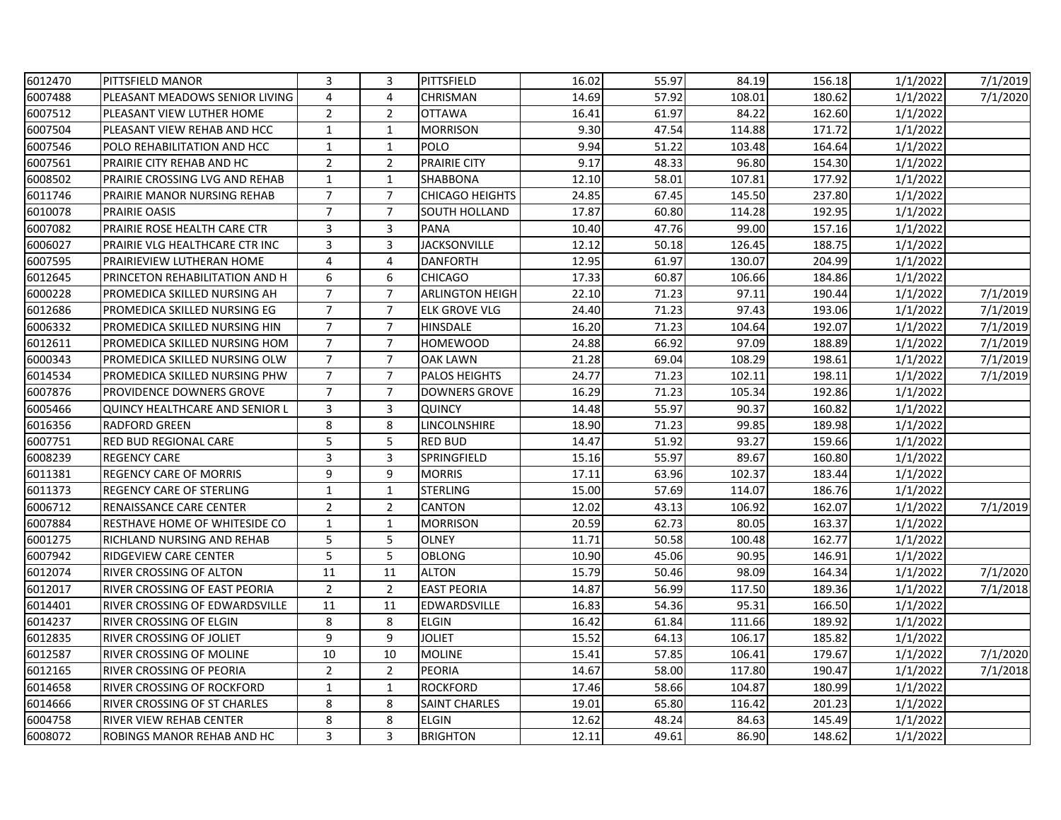| 6012470 | PITTSFIELD MANOR                      | 3              | 3              | <b>PITTSFIELD</b>      | 16.02 | 55.97 | 84.19  | 156.18 | 1/1/2022 | 7/1/2019 |
|---------|---------------------------------------|----------------|----------------|------------------------|-------|-------|--------|--------|----------|----------|
| 6007488 | PLEASANT MEADOWS SENIOR LIVING        | 4              | 4              | CHRISMAN               | 14.69 | 57.92 | 108.01 | 180.62 | 1/1/2022 | 7/1/2020 |
| 6007512 | PLEASANT VIEW LUTHER HOME             | $\overline{2}$ | $\overline{2}$ | <b>OTTAWA</b>          | 16.41 | 61.97 | 84.22  | 162.60 | 1/1/2022 |          |
| 6007504 | PLEASANT VIEW REHAB AND HCC           | $\mathbf{1}$   | $\mathbf{1}$   | <b>MORRISON</b>        | 9.30  | 47.54 | 114.88 | 171.72 | 1/1/2022 |          |
| 6007546 | POLO REHABILITATION AND HCC           | 1              | $\mathbf{1}$   | <b>POLO</b>            | 9.94  | 51.22 | 103.48 | 164.64 | 1/1/2022 |          |
| 6007561 | PRAIRIE CITY REHAB AND HC             | $\overline{2}$ | $\overline{2}$ | <b>PRAIRIE CITY</b>    | 9.17  | 48.33 | 96.80  | 154.30 | 1/1/2022 |          |
| 6008502 | PRAIRIE CROSSING LVG AND REHAB        | $\mathbf{1}$   | $\mathbf{1}$   | <b>SHABBONA</b>        | 12.10 | 58.01 | 107.81 | 177.92 | 1/1/2022 |          |
| 6011746 | PRAIRIE MANOR NURSING REHAB           | $\overline{7}$ | $\overline{7}$ | <b>CHICAGO HEIGHTS</b> | 24.85 | 67.45 | 145.50 | 237.80 | 1/1/2022 |          |
| 6010078 | <b>PRAIRIE OASIS</b>                  | $\overline{7}$ | $\overline{7}$ | SOUTH HOLLAND          | 17.87 | 60.80 | 114.28 | 192.95 | 1/1/2022 |          |
| 6007082 | PRAIRIE ROSE HEALTH CARE CTR          | 3              | 3              | <b>PANA</b>            | 10.40 | 47.76 | 99.00  | 157.16 | 1/1/2022 |          |
| 6006027 | PRAIRIE VLG HEALTHCARE CTR INC        | 3              | 3              | <b>JACKSONVILLE</b>    | 12.12 | 50.18 | 126.45 | 188.75 | 1/1/2022 |          |
| 6007595 | PRAIRIEVIEW LUTHERAN HOME             | $\overline{4}$ | 4              | <b>DANFORTH</b>        | 12.95 | 61.97 | 130.07 | 204.99 | 1/1/2022 |          |
| 6012645 | PRINCETON REHABILITATION AND H        | 6              | 6              | <b>CHICAGO</b>         | 17.33 | 60.87 | 106.66 | 184.86 | 1/1/2022 |          |
| 6000228 | PROMEDICA SKILLED NURSING AH          | $\overline{7}$ | $\overline{7}$ | <b>ARLINGTON HEIGH</b> | 22.10 | 71.23 | 97.11  | 190.44 | 1/1/2022 | 7/1/2019 |
| 6012686 | PROMEDICA SKILLED NURSING EG          | $\overline{7}$ | 7              | <b>ELK GROVE VLG</b>   | 24.40 | 71.23 | 97.43  | 193.06 | 1/1/2022 | 7/1/2019 |
| 6006332 | PROMEDICA SKILLED NURSING HIN         | $\overline{7}$ | $\overline{7}$ | HINSDALE               | 16.20 | 71.23 | 104.64 | 192.07 | 1/1/2022 | 7/1/2019 |
| 6012611 | PROMEDICA SKILLED NURSING HOM         | $\overline{7}$ | $\overline{7}$ | <b>HOMEWOOD</b>        | 24.88 | 66.92 | 97.09  | 188.89 | 1/1/2022 | 7/1/2019 |
| 6000343 | PROMEDICA SKILLED NURSING OLW         | $\overline{7}$ | $\overline{7}$ | <b>OAK LAWN</b>        | 21.28 | 69.04 | 108.29 | 198.61 | 1/1/2022 | 7/1/2019 |
| 6014534 | PROMEDICA SKILLED NURSING PHW         | $\overline{7}$ | $\overline{7}$ | <b>PALOS HEIGHTS</b>   | 24.77 | 71.23 | 102.11 | 198.11 | 1/1/2022 | 7/1/2019 |
| 6007876 | PROVIDENCE DOWNERS GROVE              | $\overline{7}$ | $\overline{7}$ | <b>DOWNERS GROVE</b>   | 16.29 | 71.23 | 105.34 | 192.86 | 1/1/2022 |          |
| 6005466 | <b>QUINCY HEALTHCARE AND SENIOR L</b> | 3              | 3              | <b>QUINCY</b>          | 14.48 | 55.97 | 90.37  | 160.82 | 1/1/2022 |          |
| 6016356 | <b>RADFORD GREEN</b>                  | 8              | 8              | LINCOLNSHIRE           | 18.90 | 71.23 | 99.85  | 189.98 | 1/1/2022 |          |
| 6007751 | RED BUD REGIONAL CARE                 | 5              | 5              | <b>RED BUD</b>         | 14.47 | 51.92 | 93.27  | 159.66 | 1/1/2022 |          |
| 6008239 | <b>REGENCY CARE</b>                   | 3              | 3              | SPRINGFIELD            | 15.16 | 55.97 | 89.67  | 160.80 | 1/1/2022 |          |
| 6011381 | <b>REGENCY CARE OF MORRIS</b>         | 9              | 9              | <b>MORRIS</b>          | 17.11 | 63.96 | 102.37 | 183.44 | 1/1/2022 |          |
| 6011373 | <b>REGENCY CARE OF STERLING</b>       | $\mathbf{1}$   | $\mathbf{1}$   | <b>STERLING</b>        | 15.00 | 57.69 | 114.07 | 186.76 | 1/1/2022 |          |
| 6006712 | RENAISSANCE CARE CENTER               | $\overline{2}$ | $\overline{2}$ | CANTON                 | 12.02 | 43.13 | 106.92 | 162.07 | 1/1/2022 | 7/1/2019 |
| 6007884 | RESTHAVE HOME OF WHITESIDE CO         | $\mathbf{1}$   | $\mathbf{1}$   | <b>MORRISON</b>        | 20.59 | 62.73 | 80.05  | 163.37 | 1/1/2022 |          |
| 6001275 | RICHLAND NURSING AND REHAB            | 5              | 5              | <b>OLNEY</b>           | 11.71 | 50.58 | 100.48 | 162.77 | 1/1/2022 |          |
| 6007942 | RIDGEVIEW CARE CENTER                 | 5              | 5              | <b>OBLONG</b>          | 10.90 | 45.06 | 90.95  | 146.91 | 1/1/2022 |          |
| 6012074 | RIVER CROSSING OF ALTON               | 11             | 11             | <b>ALTON</b>           | 15.79 | 50.46 | 98.09  | 164.34 | 1/1/2022 | 7/1/2020 |
| 6012017 | RIVER CROSSING OF EAST PEORIA         | $\overline{2}$ | $\overline{2}$ | <b>EAST PEORIA</b>     | 14.87 | 56.99 | 117.50 | 189.36 | 1/1/2022 | 7/1/2018 |
| 6014401 | RIVER CROSSING OF EDWARDSVILLE        | 11             | 11             | EDWARDSVILLE           | 16.83 | 54.36 | 95.31  | 166.50 | 1/1/2022 |          |
| 6014237 | RIVER CROSSING OF ELGIN               | 8              | 8              | <b>ELGIN</b>           | 16.42 | 61.84 | 111.66 | 189.92 | 1/1/2022 |          |
| 6012835 | RIVER CROSSING OF JOLIET              | 9              | 9              | <b>JOLIET</b>          | 15.52 | 64.13 | 106.17 | 185.82 | 1/1/2022 |          |
| 6012587 | RIVER CROSSING OF MOLINE              | 10             | 10             | <b>MOLINE</b>          | 15.41 | 57.85 | 106.41 | 179.67 | 1/1/2022 | 7/1/2020 |
| 6012165 | RIVER CROSSING OF PEORIA              | $\overline{2}$ | $\overline{2}$ | <b>PEORIA</b>          | 14.67 | 58.00 | 117.80 | 190.47 | 1/1/2022 | 7/1/2018 |
| 6014658 | RIVER CROSSING OF ROCKFORD            | 1              | $\mathbf{1}$   | <b>ROCKFORD</b>        | 17.46 | 58.66 | 104.87 | 180.99 | 1/1/2022 |          |
| 6014666 | <b>RIVER CROSSING OF ST CHARLES</b>   | 8              | 8              | <b>SAINT CHARLES</b>   | 19.01 | 65.80 | 116.42 | 201.23 | 1/1/2022 |          |
| 6004758 | RIVER VIEW REHAB CENTER               | 8              | 8              | <b>ELGIN</b>           | 12.62 | 48.24 | 84.63  | 145.49 | 1/1/2022 |          |
| 6008072 | ROBINGS MANOR REHAB AND HC            | 3              | 3              | <b>BRIGHTON</b>        | 12.11 | 49.61 | 86.90  | 148.62 | 1/1/2022 |          |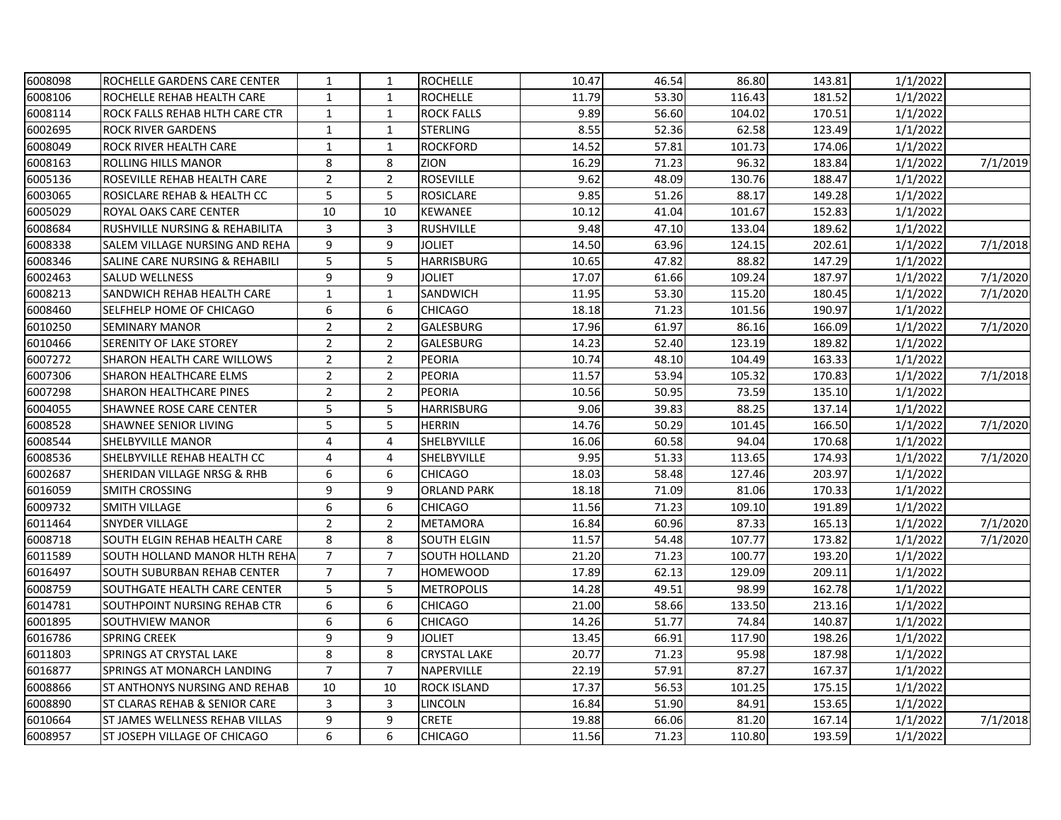| 6008098 | ROCHELLE GARDENS CARE CENTER              | 1              | $\mathbf{1}$   | <b>ROCHELLE</b>      | 10.47 | 46.54 | 86.80  | 143.81 | 1/1/2022 |          |
|---------|-------------------------------------------|----------------|----------------|----------------------|-------|-------|--------|--------|----------|----------|
| 6008106 | ROCHELLE REHAB HEALTH CARE                | $\mathbf{1}$   | $\mathbf{1}$   | <b>ROCHELLE</b>      | 11.79 | 53.30 | 116.43 | 181.52 | 1/1/2022 |          |
| 6008114 | <b>ROCK FALLS REHAB HLTH CARE CTR</b>     | $\mathbf{1}$   | $\mathbf{1}$   | <b>ROCK FALLS</b>    | 9.89  | 56.60 | 104.02 | 170.51 | 1/1/2022 |          |
| 6002695 | <b>ROCK RIVER GARDENS</b>                 | $\mathbf{1}$   | $\mathbf{1}$   | <b>STERLING</b>      | 8.55  | 52.36 | 62.58  | 123.49 | 1/1/2022 |          |
| 6008049 | ROCK RIVER HEALTH CARE                    | 1              | $\mathbf{1}$   | <b>ROCKFORD</b>      | 14.52 | 57.81 | 101.73 | 174.06 | 1/1/2022 |          |
| 6008163 | <b>ROLLING HILLS MANOR</b>                | 8              | 8              | ZION                 | 16.29 | 71.23 | 96.32  | 183.84 | 1/1/2022 | 7/1/2019 |
| 6005136 | ROSEVILLE REHAB HEALTH CARE               | $\overline{2}$ | $\overline{2}$ | <b>ROSEVILLE</b>     | 9.62  | 48.09 | 130.76 | 188.47 | 1/1/2022 |          |
| 6003065 | ROSICLARE REHAB & HEALTH CC               | 5              | 5              | <b>ROSICLARE</b>     | 9.85  | 51.26 | 88.17  | 149.28 | 1/1/2022 |          |
| 6005029 | <b>ROYAL OAKS CARE CENTER</b>             | 10             | 10             | <b>KEWANEE</b>       | 10.12 | 41.04 | 101.67 | 152.83 | 1/1/2022 |          |
| 6008684 | <b>RUSHVILLE NURSING &amp; REHABILITA</b> | 3              | 3              | <b>RUSHVILLE</b>     | 9.48  | 47.10 | 133.04 | 189.62 | 1/1/2022 |          |
| 6008338 | SALEM VILLAGE NURSING AND REHA            | 9              | 9              | JOLIET               | 14.50 | 63.96 | 124.15 | 202.61 | 1/1/2022 | 7/1/2018 |
| 6008346 | SALINE CARE NURSING & REHABILI            | 5              | 5              | <b>HARRISBURG</b>    | 10.65 | 47.82 | 88.82  | 147.29 | 1/1/2022 |          |
| 6002463 | <b>SALUD WELLNESS</b>                     | 9              | 9              | <b>JOLIET</b>        | 17.07 | 61.66 | 109.24 | 187.97 | 1/1/2022 | 7/1/2020 |
| 6008213 | SANDWICH REHAB HEALTH CARE                | $\mathbf 1$    | $\mathbf{1}$   | SANDWICH             | 11.95 | 53.30 | 115.20 | 180.45 | 1/1/2022 | 7/1/2020 |
| 6008460 | SELFHELP HOME OF CHICAGO                  | 6              | 6              | <b>CHICAGO</b>       | 18.18 | 71.23 | 101.56 | 190.97 | 1/1/2022 |          |
| 6010250 | <b>SEMINARY MANOR</b>                     | $\overline{2}$ | $\overline{2}$ | GALESBURG            | 17.96 | 61.97 | 86.16  | 166.09 | 1/1/2022 | 7/1/2020 |
| 6010466 | <b>SERENITY OF LAKE STOREY</b>            | $\overline{2}$ | $\overline{2}$ | GALESBURG            | 14.23 | 52.40 | 123.19 | 189.82 | 1/1/2022 |          |
| 6007272 | <b>SHARON HEALTH CARE WILLOWS</b>         | $\overline{2}$ | $\overline{2}$ | <b>PEORIA</b>        | 10.74 | 48.10 | 104.49 | 163.33 | 1/1/2022 |          |
| 6007306 | <b>SHARON HEALTHCARE ELMS</b>             | $\overline{2}$ | $\overline{2}$ | PEORIA               | 11.57 | 53.94 | 105.32 | 170.83 | 1/1/2022 | 7/1/2018 |
| 6007298 | <b>SHARON HEALTHCARE PINES</b>            | $\overline{2}$ | $\overline{2}$ | PEORIA               | 10.56 | 50.95 | 73.59  | 135.10 | 1/1/2022 |          |
| 6004055 | <b>SHAWNEE ROSE CARE CENTER</b>           | 5              | 5              | <b>HARRISBURG</b>    | 9.06  | 39.83 | 88.25  | 137.14 | 1/1/2022 |          |
| 6008528 | <b>SHAWNEE SENIOR LIVING</b>              | 5              | 5              | <b>HERRIN</b>        | 14.76 | 50.29 | 101.45 | 166.50 | 1/1/2022 | 7/1/2020 |
| 6008544 | <b>SHELBYVILLE MANOR</b>                  | $\overline{4}$ | 4              | SHELBYVILLE          | 16.06 | 60.58 | 94.04  | 170.68 | 1/1/2022 |          |
| 6008536 | SHELBYVILLE REHAB HEALTH CC               | 4              | 4              | SHELBYVILLE          | 9.95  | 51.33 | 113.65 | 174.93 | 1/1/2022 | 7/1/2020 |
| 6002687 | SHERIDAN VILLAGE NRSG & RHB               | 6              | 6              | <b>CHICAGO</b>       | 18.03 | 58.48 | 127.46 | 203.97 | 1/1/2022 |          |
| 6016059 | <b>SMITH CROSSING</b>                     | 9              | 9              | <b>ORLAND PARK</b>   | 18.18 | 71.09 | 81.06  | 170.33 | 1/1/2022 |          |
| 6009732 | <b>SMITH VILLAGE</b>                      | 6              | 6              | <b>CHICAGO</b>       | 11.56 | 71.23 | 109.10 | 191.89 | 1/1/2022 |          |
| 6011464 | <b>SNYDER VILLAGE</b>                     | $\overline{2}$ | $\overline{2}$ | <b>METAMORA</b>      | 16.84 | 60.96 | 87.33  | 165.13 | 1/1/2022 | 7/1/2020 |
| 6008718 | <b>SOUTH ELGIN REHAB HEALTH CARE</b>      | 8              | 8              | <b>SOUTH ELGIN</b>   | 11.57 | 54.48 | 107.77 | 173.82 | 1/1/2022 | 7/1/2020 |
| 6011589 | SOUTH HOLLAND MANOR HLTH REHA             | $\overline{7}$ | $\overline{7}$ | <b>SOUTH HOLLAND</b> | 21.20 | 71.23 | 100.77 | 193.20 | 1/1/2022 |          |
| 6016497 | <b>SOUTH SUBURBAN REHAB CENTER</b>        | $\overline{7}$ | $\overline{7}$ | <b>HOMEWOOD</b>      | 17.89 | 62.13 | 129.09 | 209.11 | 1/1/2022 |          |
| 6008759 | <b>SOUTHGATE HEALTH CARE CENTER</b>       | 5              | 5              | <b>METROPOLIS</b>    | 14.28 | 49.51 | 98.99  | 162.78 | 1/1/2022 |          |
| 6014781 | SOUTHPOINT NURSING REHAB CTR              | 6              | 6              | <b>CHICAGO</b>       | 21.00 | 58.66 | 133.50 | 213.16 | 1/1/2022 |          |
| 6001895 | <b>SOUTHVIEW MANOR</b>                    | 6              | 6              | <b>CHICAGO</b>       | 14.26 | 51.77 | 74.84  | 140.87 | 1/1/2022 |          |
| 6016786 | <b>SPRING CREEK</b>                       | 9              | 9              | <b>JOLIET</b>        | 13.45 | 66.91 | 117.90 | 198.26 | 1/1/2022 |          |
| 6011803 | SPRINGS AT CRYSTAL LAKE                   | 8              | 8              | <b>CRYSTAL LAKE</b>  | 20.77 | 71.23 | 95.98  | 187.98 | 1/1/2022 |          |
| 6016877 | SPRINGS AT MONARCH LANDING                | $\overline{7}$ | $\overline{7}$ | NAPERVILLE           | 22.19 | 57.91 | 87.27  | 167.37 | 1/1/2022 |          |
| 6008866 | ST ANTHONYS NURSING AND REHAB             | 10             | 10             | ROCK ISLAND          | 17.37 | 56.53 | 101.25 | 175.15 | 1/1/2022 |          |
| 6008890 | <b>ST CLARAS REHAB &amp; SENIOR CARE</b>  | 3              | 3              | LINCOLN              | 16.84 | 51.90 | 84.91  | 153.65 | 1/1/2022 |          |
| 6010664 | ST JAMES WELLNESS REHAB VILLAS            | 9              | 9              | <b>CRETE</b>         | 19.88 | 66.06 | 81.20  | 167.14 | 1/1/2022 | 7/1/2018 |
| 6008957 | <b>ST JOSEPH VILLAGE OF CHICAGO</b>       | 6              | 6              | <b>CHICAGO</b>       | 11.56 | 71.23 | 110.80 | 193.59 | 1/1/2022 |          |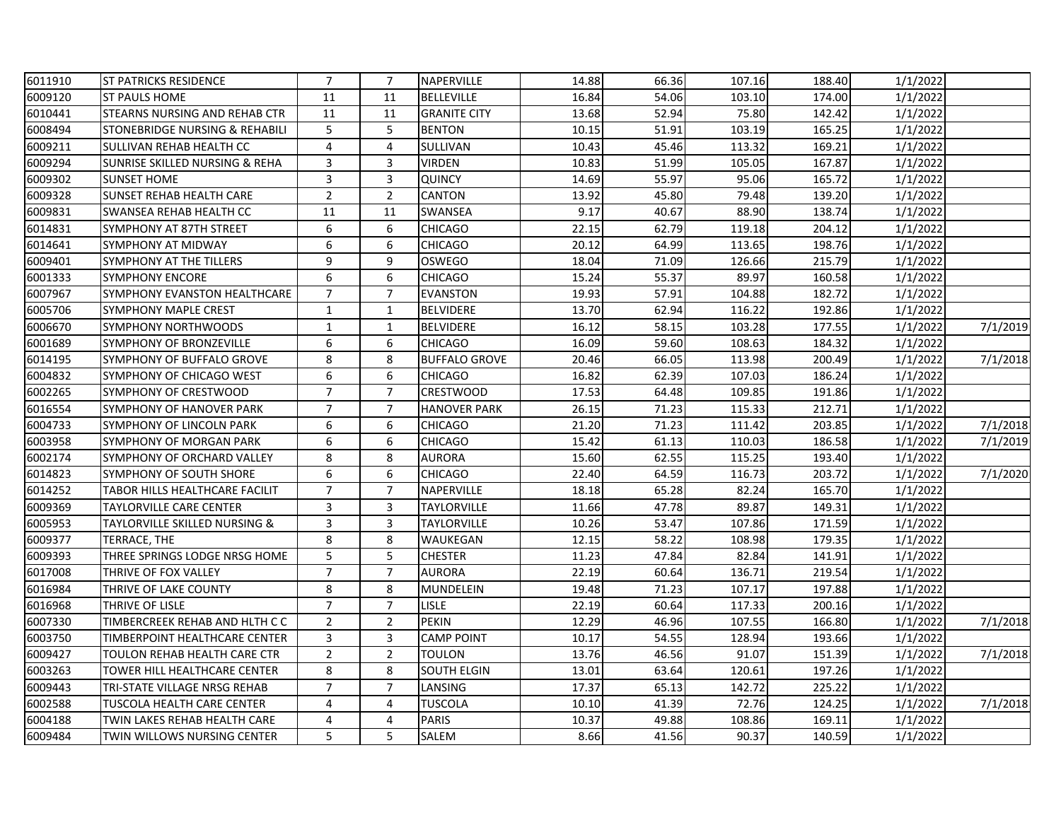| 6011910 | <b>ST PATRICKS RESIDENCE</b>         | $\overline{7}$ | $\overline{7}$ | NAPERVILLE           | 14.88 | 66.36 | 107.16 | 188.40 | 1/1/2022 |          |
|---------|--------------------------------------|----------------|----------------|----------------------|-------|-------|--------|--------|----------|----------|
| 6009120 | <b>ST PAULS HOME</b>                 | 11             | 11             | <b>BELLEVILLE</b>    | 16.84 | 54.06 | 103.10 | 174.00 | 1/1/2022 |          |
| 6010441 | <b>STEARNS NURSING AND REHAB CTR</b> | 11             | 11             | <b>GRANITE CITY</b>  | 13.68 | 52.94 | 75.80  | 142.42 | 1/1/2022 |          |
| 6008494 | STONEBRIDGE NURSING & REHABILI       | 5              | 5              | <b>BENTON</b>        | 10.15 | 51.91 | 103.19 | 165.25 | 1/1/2022 |          |
| 6009211 | SULLIVAN REHAB HEALTH CC             | 4              | 4              | SULLIVAN             | 10.43 | 45.46 | 113.32 | 169.21 | 1/1/2022 |          |
| 6009294 | SUNRISE SKILLED NURSING & REHA       | 3              | 3              | VIRDEN               | 10.83 | 51.99 | 105.05 | 167.87 | 1/1/2022 |          |
| 6009302 | <b>SUNSET HOME</b>                   | 3              | 3              | <b>QUINCY</b>        | 14.69 | 55.97 | 95.06  | 165.72 | 1/1/2022 |          |
| 6009328 | <b>SUNSET REHAB HEALTH CARE</b>      | $\overline{2}$ | $\overline{2}$ | <b>CANTON</b>        | 13.92 | 45.80 | 79.48  | 139.20 | 1/1/2022 |          |
| 6009831 | <b>SWANSEA REHAB HEALTH CC</b>       | 11             | 11             | <b>SWANSEA</b>       | 9.17  | 40.67 | 88.90  | 138.74 | 1/1/2022 |          |
| 6014831 | SYMPHONY AT 87TH STREET              | 6              | 6              | CHICAGO              | 22.15 | 62.79 | 119.18 | 204.12 | 1/1/2022 |          |
| 6014641 | SYMPHONY AT MIDWAY                   | 6              | 6              | <b>CHICAGO</b>       | 20.12 | 64.99 | 113.65 | 198.76 | 1/1/2022 |          |
| 6009401 | SYMPHONY AT THE TILLERS              | 9              | 9              | <b>OSWEGO</b>        | 18.04 | 71.09 | 126.66 | 215.79 | 1/1/2022 |          |
| 6001333 | <b>SYMPHONY ENCORE</b>               | 6              | 6              | <b>CHICAGO</b>       | 15.24 | 55.37 | 89.97  | 160.58 | 1/1/2022 |          |
| 6007967 | SYMPHONY EVANSTON HEALTHCARE         | $\overline{7}$ | $\overline{7}$ | <b>EVANSTON</b>      | 19.93 | 57.91 | 104.88 | 182.72 | 1/1/2022 |          |
| 6005706 | <b>SYMPHONY MAPLE CREST</b>          | $\mathbf{1}$   | $\mathbf{1}$   | <b>BELVIDERE</b>     | 13.70 | 62.94 | 116.22 | 192.86 | 1/1/2022 |          |
| 6006670 | <b>SYMPHONY NORTHWOODS</b>           | 1              | $\mathbf{1}$   | <b>BELVIDERE</b>     | 16.12 | 58.15 | 103.28 | 177.55 | 1/1/2022 | 7/1/2019 |
| 6001689 | SYMPHONY OF BRONZEVILLE              | 6              | 6              | <b>CHICAGO</b>       | 16.09 | 59.60 | 108.63 | 184.32 | 1/1/2022 |          |
| 6014195 | SYMPHONY OF BUFFALO GROVE            | 8              | 8              | <b>BUFFALO GROVE</b> | 20.46 | 66.05 | 113.98 | 200.49 | 1/1/2022 | 7/1/2018 |
| 6004832 | SYMPHONY OF CHICAGO WEST             | 6              | 6              | <b>CHICAGO</b>       | 16.82 | 62.39 | 107.03 | 186.24 | 1/1/2022 |          |
| 6002265 | SYMPHONY OF CRESTWOOD                | $\overline{7}$ | $\overline{7}$ | <b>CRESTWOOD</b>     | 17.53 | 64.48 | 109.85 | 191.86 | 1/1/2022 |          |
| 6016554 | SYMPHONY OF HANOVER PARK             | $\overline{7}$ | $\overline{7}$ | <b>HANOVER PARK</b>  | 26.15 | 71.23 | 115.33 | 212.71 | 1/1/2022 |          |
| 6004733 | SYMPHONY OF LINCOLN PARK             | 6              | 6              | CHICAGO              | 21.20 | 71.23 | 111.42 | 203.85 | 1/1/2022 | 7/1/2018 |
| 6003958 | SYMPHONY OF MORGAN PARK              | 6              | 6              | <b>CHICAGO</b>       | 15.42 | 61.13 | 110.03 | 186.58 | 1/1/2022 | 7/1/2019 |
| 6002174 | SYMPHONY OF ORCHARD VALLEY           | 8              | 8              | <b>AURORA</b>        | 15.60 | 62.55 | 115.25 | 193.40 | 1/1/2022 |          |
| 6014823 | <b>SYMPHONY OF SOUTH SHORE</b>       | 6              | 6              | <b>CHICAGO</b>       | 22.40 | 64.59 | 116.73 | 203.72 | 1/1/2022 | 7/1/2020 |
| 6014252 | TABOR HILLS HEALTHCARE FACILIT       | $\overline{7}$ | $\overline{7}$ | NAPERVILLE           | 18.18 | 65.28 | 82.24  | 165.70 | 1/1/2022 |          |
| 6009369 | TAYLORVILLE CARE CENTER              | 3              | 3              | <b>TAYLORVILLE</b>   | 11.66 | 47.78 | 89.87  | 149.31 | 1/1/2022 |          |
| 6005953 | TAYLORVILLE SKILLED NURSING &        | 3              | 3              | <b>TAYLORVILLE</b>   | 10.26 | 53.47 | 107.86 | 171.59 | 1/1/2022 |          |
| 6009377 | TERRACE, THE                         | 8              | 8              | WAUKEGAN             | 12.15 | 58.22 | 108.98 | 179.35 | 1/1/2022 |          |
| 6009393 | THREE SPRINGS LODGE NRSG HOME        | 5              | 5              | <b>CHESTER</b>       | 11.23 | 47.84 | 82.84  | 141.91 | 1/1/2022 |          |
| 6017008 | THRIVE OF FOX VALLEY                 | $\overline{7}$ | $\overline{7}$ | <b>AURORA</b>        | 22.19 | 60.64 | 136.71 | 219.54 | 1/1/2022 |          |
| 6016984 | THRIVE OF LAKE COUNTY                | 8              | 8              | MUNDELEIN            | 19.48 | 71.23 | 107.17 | 197.88 | 1/1/2022 |          |
| 6016968 | THRIVE OF LISLE                      | $\overline{7}$ | $\overline{7}$ | lisle                | 22.19 | 60.64 | 117.33 | 200.16 | 1/1/2022 |          |
| 6007330 | TIMBERCREEK REHAB AND HLTH C C       | $\overline{2}$ | $\overline{2}$ | <b>PEKIN</b>         | 12.29 | 46.96 | 107.55 | 166.80 | 1/1/2022 | 7/1/2018 |
| 6003750 | TIMBERPOINT HEALTHCARE CENTER        | 3              | 3              | <b>CAMP POINT</b>    | 10.17 | 54.55 | 128.94 | 193.66 | 1/1/2022 |          |
| 6009427 | TOULON REHAB HEALTH CARE CTR         | $\overline{2}$ | $\overline{2}$ | <b>TOULON</b>        | 13.76 | 46.56 | 91.07  | 151.39 | 1/1/2022 | 7/1/2018 |
| 6003263 | TOWER HILL HEALTHCARE CENTER         | 8              | 8              | <b>SOUTH ELGIN</b>   | 13.01 | 63.64 | 120.61 | 197.26 | 1/1/2022 |          |
| 6009443 | TRI-STATE VILLAGE NRSG REHAB         | $\overline{7}$ | $\overline{7}$ | LANSING              | 17.37 | 65.13 | 142.72 | 225.22 | 1/1/2022 |          |
| 6002588 | TUSCOLA HEALTH CARE CENTER           | 4              | 4              | TUSCOLA              | 10.10 | 41.39 | 72.76  | 124.25 | 1/1/2022 | 7/1/2018 |
| 6004188 | TWIN LAKES REHAB HEALTH CARE         | 4              | 4              | <b>PARIS</b>         | 10.37 | 49.88 | 108.86 | 169.11 | 1/1/2022 |          |
| 6009484 | TWIN WILLOWS NURSING CENTER          | 5              | 5              | <b>SALEM</b>         | 8.66  | 41.56 | 90.37  | 140.59 | 1/1/2022 |          |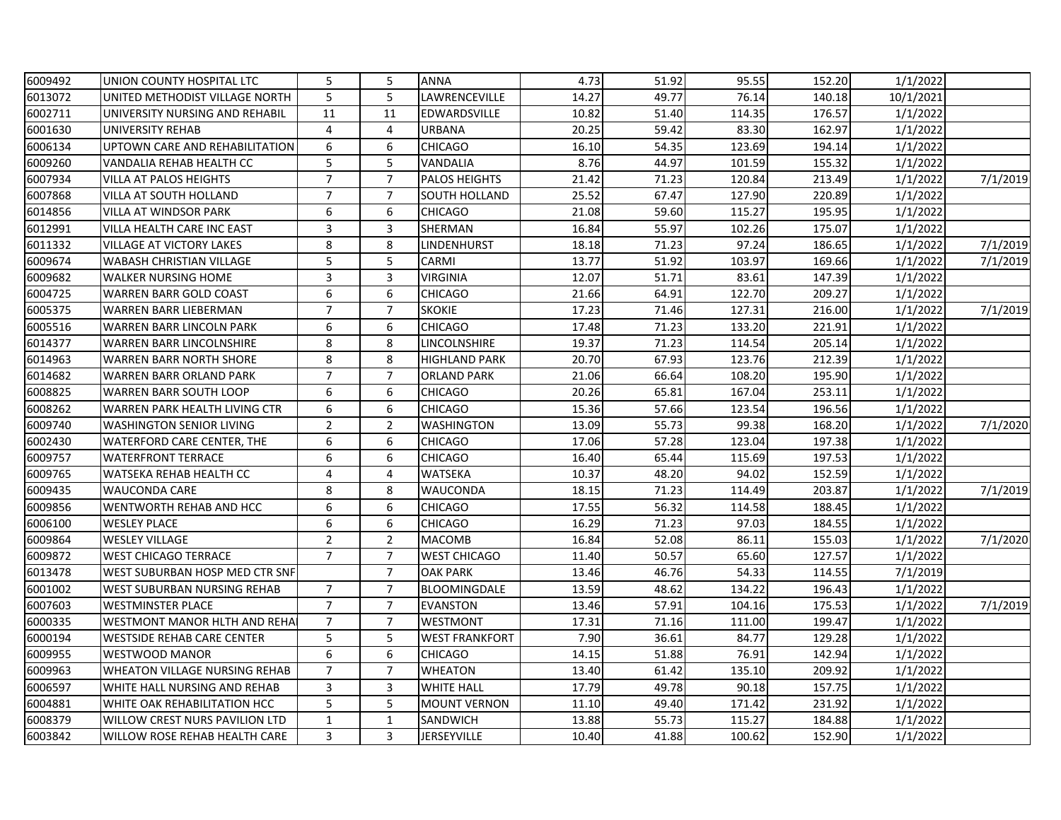| 6009492 | UNION COUNTY HOSPITAL LTC             | 5              | 5              | <b>ANNA</b>           | 4.73  | 51.92 | 95.55  | 152.20 | 1/1/2022  |          |
|---------|---------------------------------------|----------------|----------------|-----------------------|-------|-------|--------|--------|-----------|----------|
| 6013072 | UNITED METHODIST VILLAGE NORTH        | 5              | 5              | LAWRENCEVILLE         | 14.27 | 49.77 | 76.14  | 140.18 | 10/1/2021 |          |
| 6002711 | UNIVERSITY NURSING AND REHABIL        | 11             | 11             | EDWARDSVILLE          | 10.82 | 51.40 | 114.35 | 176.57 | 1/1/2022  |          |
| 6001630 | <b>UNIVERSITY REHAB</b>               | 4              | 4              | URBANA                | 20.25 | 59.42 | 83.30  | 162.97 | 1/1/2022  |          |
| 6006134 | UPTOWN CARE AND REHABILITATION        | 6              | 6              | <b>CHICAGO</b>        | 16.10 | 54.35 | 123.69 | 194.14 | 1/1/2022  |          |
| 6009260 | VANDALIA REHAB HEALTH CC              | 5              | 5              | VANDALIA              | 8.76  | 44.97 | 101.59 | 155.32 | 1/1/2022  |          |
| 6007934 | <b>VILLA AT PALOS HEIGHTS</b>         | $\overline{7}$ | $\overline{7}$ | <b>PALOS HEIGHTS</b>  | 21.42 | 71.23 | 120.84 | 213.49 | 1/1/2022  | 7/1/2019 |
| 6007868 | <b>VILLA AT SOUTH HOLLAND</b>         | $\overline{7}$ | $\overline{7}$ | <b>SOUTH HOLLAND</b>  | 25.52 | 67.47 | 127.90 | 220.89 | 1/1/2022  |          |
| 6014856 | <b>VILLA AT WINDSOR PARK</b>          | 6              | 6              | <b>CHICAGO</b>        | 21.08 | 59.60 | 115.27 | 195.95 | 1/1/2022  |          |
| 6012991 | <b>VILLA HEALTH CARE INC EAST</b>     | 3              | 3              | SHERMAN               | 16.84 | 55.97 | 102.26 | 175.07 | 1/1/2022  |          |
| 6011332 | <b>VILLAGE AT VICTORY LAKES</b>       | 8              | 8              | LINDENHURST           | 18.18 | 71.23 | 97.24  | 186.65 | 1/1/2022  | 7/1/2019 |
| 6009674 | <b>WABASH CHRISTIAN VILLAGE</b>       | 5              | 5              | <b>CARMI</b>          | 13.77 | 51.92 | 103.97 | 169.66 | 1/1/2022  | 7/1/2019 |
| 6009682 | <b>WALKER NURSING HOME</b>            | 3              | 3              | <b>VIRGINIA</b>       | 12.07 | 51.71 | 83.61  | 147.39 | 1/1/2022  |          |
| 6004725 | <b>WARREN BARR GOLD COAST</b>         | 6              | 6              | <b>CHICAGO</b>        | 21.66 | 64.91 | 122.70 | 209.27 | 1/1/2022  |          |
| 6005375 | <b>WARREN BARR LIEBERMAN</b>          | $\overline{7}$ | $\overline{7}$ | <b>SKOKIE</b>         | 17.23 | 71.46 | 127.31 | 216.00 | 1/1/2022  | 7/1/2019 |
| 6005516 | <b>WARREN BARR LINCOLN PARK</b>       | 6              | 6              | <b>CHICAGO</b>        | 17.48 | 71.23 | 133.20 | 221.91 | 1/1/2022  |          |
| 6014377 | <b>WARREN BARR LINCOLNSHIRE</b>       | 8              | 8              | LINCOLNSHIRE          | 19.37 | 71.23 | 114.54 | 205.14 | 1/1/2022  |          |
| 6014963 | <b>WARREN BARR NORTH SHORE</b>        | 8              | 8              | <b>HIGHLAND PARK</b>  | 20.70 | 67.93 | 123.76 | 212.39 | 1/1/2022  |          |
| 6014682 | <b>WARREN BARR ORLAND PARK</b>        | $\overline{7}$ | $\overline{7}$ | <b>ORLAND PARK</b>    | 21.06 | 66.64 | 108.20 | 195.90 | 1/1/2022  |          |
| 6008825 | <b>WARREN BARR SOUTH LOOP</b>         | 6              | 6              | <b>CHICAGO</b>        | 20.26 | 65.81 | 167.04 | 253.11 | 1/1/2022  |          |
| 6008262 | WARREN PARK HEALTH LIVING CTR         | 6              | 6              | CHICAGO               | 15.36 | 57.66 | 123.54 | 196.56 | 1/1/2022  |          |
| 6009740 | <b>WASHINGTON SENIOR LIVING</b>       | $\overline{2}$ | $\overline{2}$ | <b>WASHINGTON</b>     | 13.09 | 55.73 | 99.38  | 168.20 | 1/1/2022  | 7/1/2020 |
| 6002430 | WATERFORD CARE CENTER, THE            | 6              | 6              | <b>CHICAGO</b>        | 17.06 | 57.28 | 123.04 | 197.38 | 1/1/2022  |          |
| 6009757 | <b>WATERFRONT TERRACE</b>             | 6              | 6              | <b>CHICAGO</b>        | 16.40 | 65.44 | 115.69 | 197.53 | 1/1/2022  |          |
| 6009765 | WATSEKA REHAB HEALTH CC               | 4              | 4              | <b>WATSEKA</b>        | 10.37 | 48.20 | 94.02  | 152.59 | 1/1/2022  |          |
| 6009435 | <b>WAUCONDA CARE</b>                  | 8              | 8              | WAUCONDA              | 18.15 | 71.23 | 114.49 | 203.87 | 1/1/2022  | 7/1/2019 |
| 6009856 | WENTWORTH REHAB AND HCC               | 6              | 6              | <b>CHICAGO</b>        | 17.55 | 56.32 | 114.58 | 188.45 | 1/1/2022  |          |
| 6006100 | <b>WESLEY PLACE</b>                   | 6              | 6              | <b>CHICAGO</b>        | 16.29 | 71.23 | 97.03  | 184.55 | 1/1/2022  |          |
| 6009864 | <b>WESLEY VILLAGE</b>                 | $\overline{2}$ | $\overline{2}$ | <b>MACOMB</b>         | 16.84 | 52.08 | 86.11  | 155.03 | 1/1/2022  | 7/1/2020 |
| 6009872 | <b>WEST CHICAGO TERRACE</b>           | $\overline{7}$ | $\overline{7}$ | <b>WEST CHICAGO</b>   | 11.40 | 50.57 | 65.60  | 127.57 | 1/1/2022  |          |
| 6013478 | WEST SUBURBAN HOSP MED CTR SNF        |                | $\overline{7}$ | <b>OAK PARK</b>       | 13.46 | 46.76 | 54.33  | 114.55 | 7/1/2019  |          |
| 6001002 | <b>WEST SUBURBAN NURSING REHAB</b>    | $\overline{7}$ | $\overline{7}$ | BLOOMINGDALE          | 13.59 | 48.62 | 134.22 | 196.43 | 1/1/2022  |          |
| 6007603 | <b>WESTMINSTER PLACE</b>              | $\overline{7}$ | $\overline{7}$ | <b>EVANSTON</b>       | 13.46 | 57.91 | 104.16 | 175.53 | 1/1/2022  | 7/1/2019 |
| 6000335 | <b>WESTMONT MANOR HLTH AND REHA</b>   | $\overline{7}$ | $\overline{7}$ | <b>WESTMONT</b>       | 17.31 | 71.16 | 111.00 | 199.47 | 1/1/2022  |          |
| 6000194 | <b>WESTSIDE REHAB CARE CENTER</b>     | 5              | 5              | <b>WEST FRANKFORT</b> | 7.90  | 36.61 | 84.77  | 129.28 | 1/1/2022  |          |
| 6009955 | <b>WESTWOOD MANOR</b>                 | 6              | 6              | <b>CHICAGO</b>        | 14.15 | 51.88 | 76.91  | 142.94 | 1/1/2022  |          |
| 6009963 | <b>WHEATON VILLAGE NURSING REHAB</b>  | $\overline{7}$ | $\overline{7}$ | <b>WHEATON</b>        | 13.40 | 61.42 | 135.10 | 209.92 | 1/1/2022  |          |
| 6006597 | WHITE HALL NURSING AND REHAB          | 3              | 3              | <b>WHITE HALL</b>     | 17.79 | 49.78 | 90.18  | 157.75 | 1/1/2022  |          |
| 6004881 | WHITE OAK REHABILITATION HCC          | 5              | 5              | <b>MOUNT VERNON</b>   | 11.10 | 49.40 | 171.42 | 231.92 | 1/1/2022  |          |
| 6008379 | <b>WILLOW CREST NURS PAVILION LTD</b> | $\mathbf 1$    | $\mathbf{1}$   | SANDWICH              | 13.88 | 55.73 | 115.27 | 184.88 | 1/1/2022  |          |
| 6003842 | WILLOW ROSE REHAB HEALTH CARE         | 3              | 3              | <b>JERSEYVILLE</b>    | 10.40 | 41.88 | 100.62 | 152.90 | 1/1/2022  |          |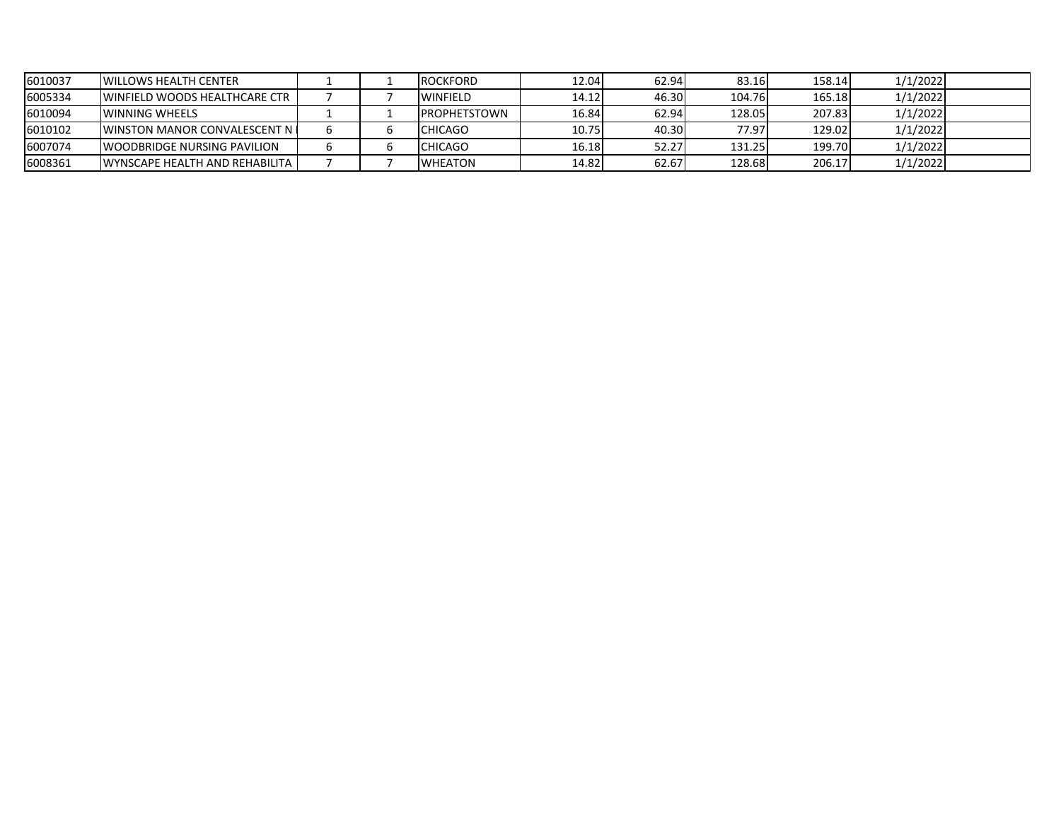| 6010037 | <b>I</b> WILLOWS HEALTH CENTER          |  | <b>ROCKFORD</b>      | 12.04 | 62.94 | 83.16  | 158.14 | 1/1/2022 |  |
|---------|-----------------------------------------|--|----------------------|-------|-------|--------|--------|----------|--|
| 6005334 | <b>UNINFIELD WOODS HEALTHCARE CTR</b>   |  | <b>WINFIELD</b>      | 14.12 | 46.30 | 104.76 | 165.18 | 1/1/2022 |  |
| 6010094 | <b>IWINNING WHEELS</b>                  |  | <b>IPROPHETSTOWN</b> | 16.84 | 62.94 | 128.05 | 207.83 | 1/1/2022 |  |
| 6010102 | <b>IWINSTON MANOR CONVALESCENT N I</b>  |  | <b>CHICAGO</b>       | 10.75 | 40.30 | 77.97  | 129.02 | 1/1/2022 |  |
| 6007074 | <b>IWOODBRIDGE NURSING PAVILION</b>     |  | <b>CHICAGO</b>       | 16.18 | 52.27 | 131.25 | 199.70 | 1/1/2022 |  |
| 6008361 | <b>WYNSCAPE HEALTH AND REHABILITA I</b> |  | <b>WHEATON</b>       | 14.82 | 62.67 | 128.68 | 206.17 | 1/1/2022 |  |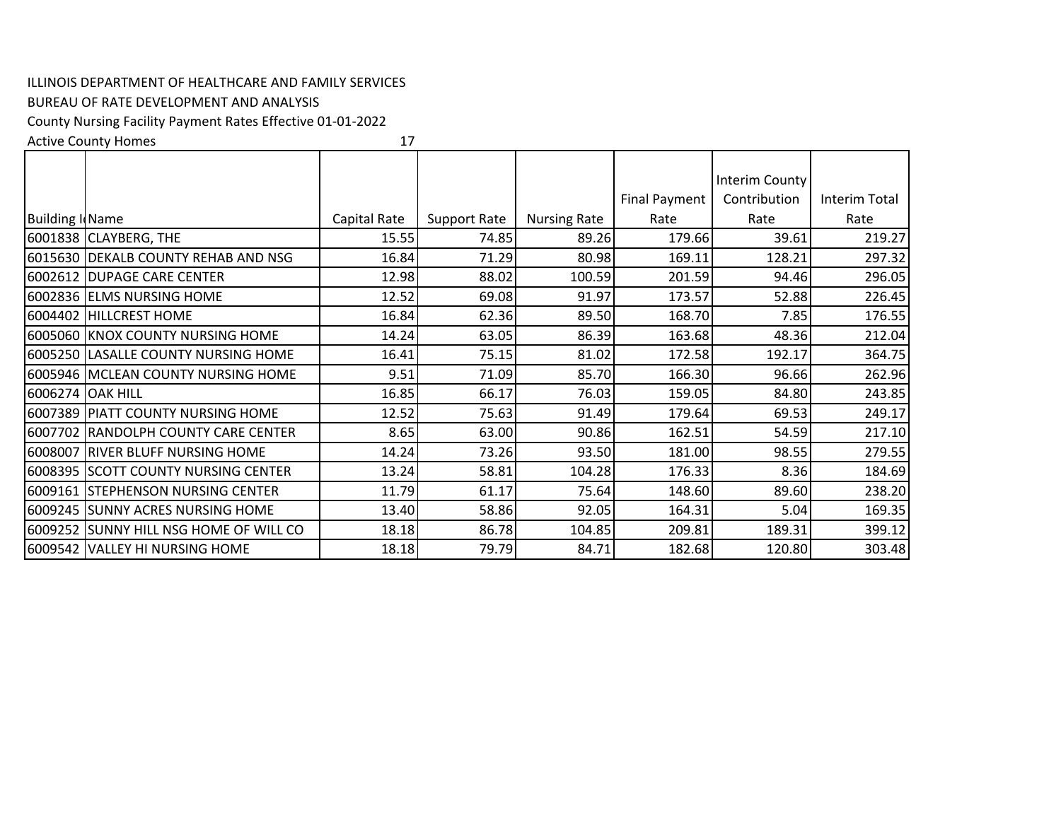## ILLINOIS DEPARTMENT OF HEALTHCARE AND FAMILY SERVICES

## BUREAU OF RATE DEVELOPMENT AND ANALYSIS

County Nursing Facility Payment Rates Effective 01‐01‐2022

Active County Homes

17

|                        |                                        |              |                     |                     |                      | Interim County |               |
|------------------------|----------------------------------------|--------------|---------------------|---------------------|----------------------|----------------|---------------|
|                        |                                        |              |                     |                     | <b>Final Payment</b> | Contribution   | Interim Total |
| <b>Building I Name</b> |                                        | Capital Rate | <b>Support Rate</b> | <b>Nursing Rate</b> | Rate                 | Rate           | Rate          |
|                        | 6001838 CLAYBERG, THE                  | 15.55        | 74.85               | 89.26               | 179.66               | 39.61          | 219.27        |
|                        | 6015630 DEKALB COUNTY REHAB AND NSG    | 16.84        | 71.29               | 80.98               | 169.11               | 128.21         | 297.32        |
|                        | 6002612 DUPAGE CARE CENTER             | 12.98        | 88.02               | 100.59              | 201.59               | 94.46          | 296.05        |
|                        | 6002836 ELMS NURSING HOME              | 12.52        | 69.08               | 91.97               | 173.57               | 52.88          | 226.45        |
| 6004402                | <b>HILLCREST HOME</b>                  | 16.84        | 62.36               | 89.50               | 168.70               | 7.85           | 176.55        |
|                        | 6005060 KNOX COUNTY NURSING HOME       | 14.24        | 63.05               | 86.39               | 163.68               | 48.36          | 212.04        |
|                        | 6005250 LASALLE COUNTY NURSING HOME    | 16.41        | 75.15               | 81.02               | 172.58               | 192.17         | 364.75        |
|                        | 6005946 MCLEAN COUNTY NURSING HOME     | 9.51         | 71.09               | 85.70               | 166.30               | 96.66          | 262.96        |
| 6006274 OAK HILL       |                                        | 16.85        | 66.17               | 76.03               | 159.05               | 84.80          | 243.85        |
|                        | 6007389 PIATT COUNTY NURSING HOME      | 12.52        | 75.63               | 91.49               | 179.64               | 69.53          | 249.17        |
|                        | 6007702 RANDOLPH COUNTY CARE CENTER    | 8.65         | 63.00               | 90.86               | 162.51               | 54.59          | 217.10        |
|                        | 6008007 RIVER BLUFF NURSING HOME       | 14.24        | 73.26               | 93.50               | 181.00               | 98.55          | 279.55        |
|                        | 6008395 SCOTT COUNTY NURSING CENTER    | 13.24        | 58.81               | 104.28              | 176.33               | 8.36           | 184.69        |
|                        | 6009161 STEPHENSON NURSING CENTER      | 11.79        | 61.17               | 75.64               | 148.60               | 89.60          | 238.20        |
|                        | 6009245 SUNNY ACRES NURSING HOME       | 13.40        | 58.86               | 92.05               | 164.31               | 5.04           | 169.35        |
|                        | 6009252 SUNNY HILL NSG HOME OF WILL CO | 18.18        | 86.78               | 104.85              | 209.81               | 189.31         | 399.12        |
|                        | 6009542 VALLEY HI NURSING HOME         | 18.18        | 79.79               | 84.71               | 182.68               | 120.80         | 303.48        |